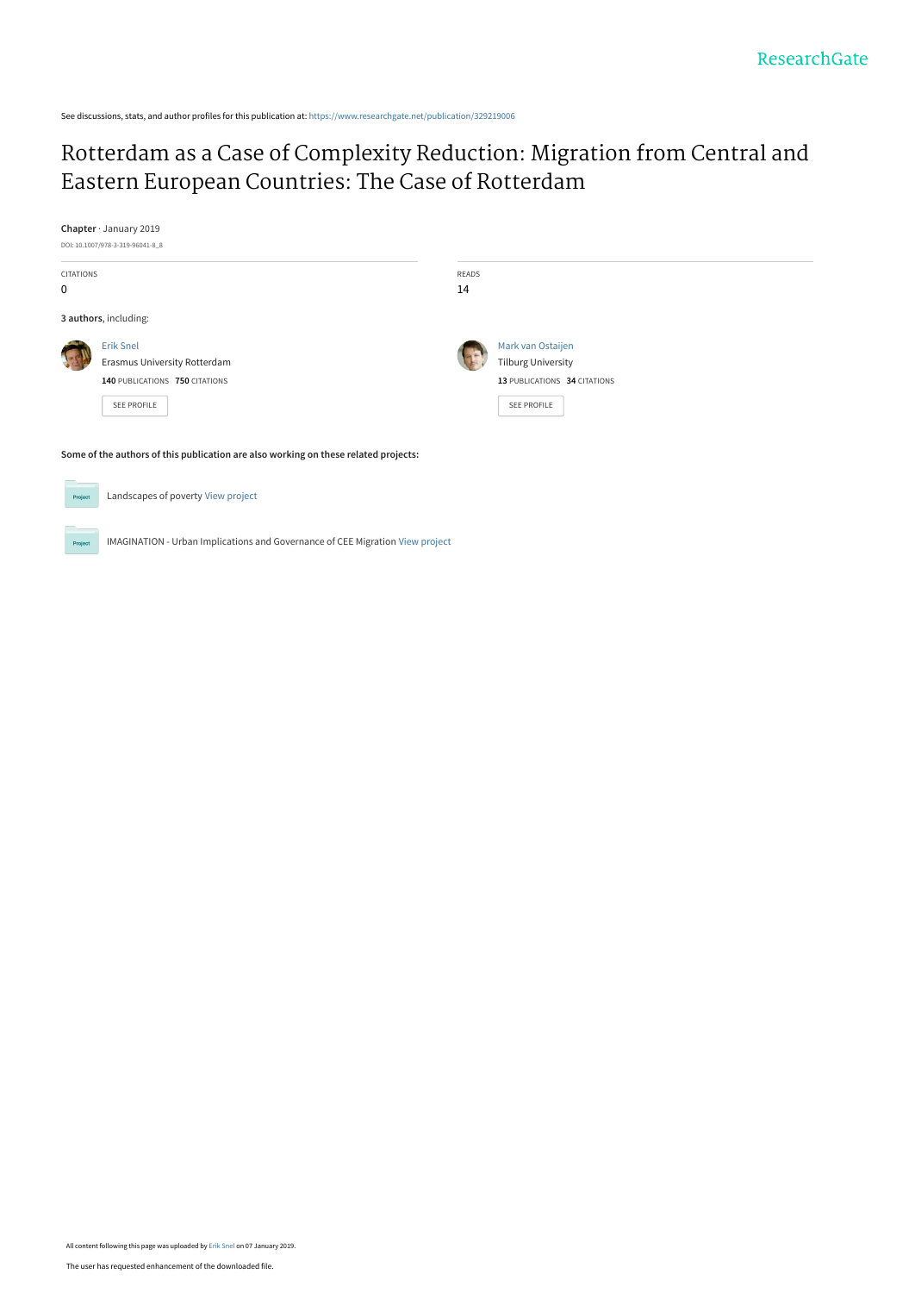See discussions, stats, and author profiles for this publication at: [https://www.researchgate.net/publication/329219006](https://www.researchgate.net/publication/329219006_Rotterdam_as_a_Case_of_Complexity_Reduction_Migration_from_Central_and_Eastern_European_Countries_The_Case_of_Rotterdam?enrichId=rgreq-65ba00535cbc619f50c28f3ebc3a6484-XXX&enrichSource=Y292ZXJQYWdlOzMyOTIxOTAwNjtBUzo3MTIzODQyNjgyMjY1NzBAMTU0Njg1NzA1MzUwNA%3D%3D&el=1_x_2&_esc=publicationCoverPdf)

# [Rotterdam as a Case of Complexity Reduction: Migration from Central and](https://www.researchgate.net/publication/329219006_Rotterdam_as_a_Case_of_Complexity_Reduction_Migration_from_Central_and_Eastern_European_Countries_The_Case_of_Rotterdam?enrichId=rgreq-65ba00535cbc619f50c28f3ebc3a6484-XXX&enrichSource=Y292ZXJQYWdlOzMyOTIxOTAwNjtBUzo3MTIzODQyNjgyMjY1NzBAMTU0Njg1NzA1MzUwNA%3D%3D&el=1_x_3&_esc=publicationCoverPdf) Eastern European Countries: The Case of Rotterdam

|                                                                                     | Chapter · January 2019                           |       |                                                |  |  |  |  |
|-------------------------------------------------------------------------------------|--------------------------------------------------|-------|------------------------------------------------|--|--|--|--|
| DOI: 10.1007/978-3-319-96041-8_8                                                    |                                                  |       |                                                |  |  |  |  |
| <b>CITATIONS</b>                                                                    |                                                  | READS |                                                |  |  |  |  |
| $\mathbf 0$                                                                         |                                                  | 14    |                                                |  |  |  |  |
|                                                                                     | 3 authors, including:                            |       |                                                |  |  |  |  |
|                                                                                     | <b>Erik Snel</b><br>Erasmus University Rotterdam |       | Mark van Ostaijen<br><b>Tilburg University</b> |  |  |  |  |
|                                                                                     | 140 PUBLICATIONS 750 CITATIONS                   |       | 13 PUBLICATIONS 34 CITATIONS                   |  |  |  |  |
|                                                                                     | SEE PROFILE                                      |       | SEE PROFILE                                    |  |  |  |  |
| Some of the authors of this publication are also working on these related projects: |                                                  |       |                                                |  |  |  |  |
| Project                                                                             | Landscapes of poverty View project               |       |                                                |  |  |  |  |

IMAGINATION - Urban Implications and Governance of CEE Migration [View project](https://www.researchgate.net/project/IMAGINATION-Urban-Implications-and-Governance-of-CEE-Migration?enrichId=rgreq-65ba00535cbc619f50c28f3ebc3a6484-XXX&enrichSource=Y292ZXJQYWdlOzMyOTIxOTAwNjtBUzo3MTIzODQyNjgyMjY1NzBAMTU0Njg1NzA1MzUwNA%3D%3D&el=1_x_9&_esc=publicationCoverPdf) Project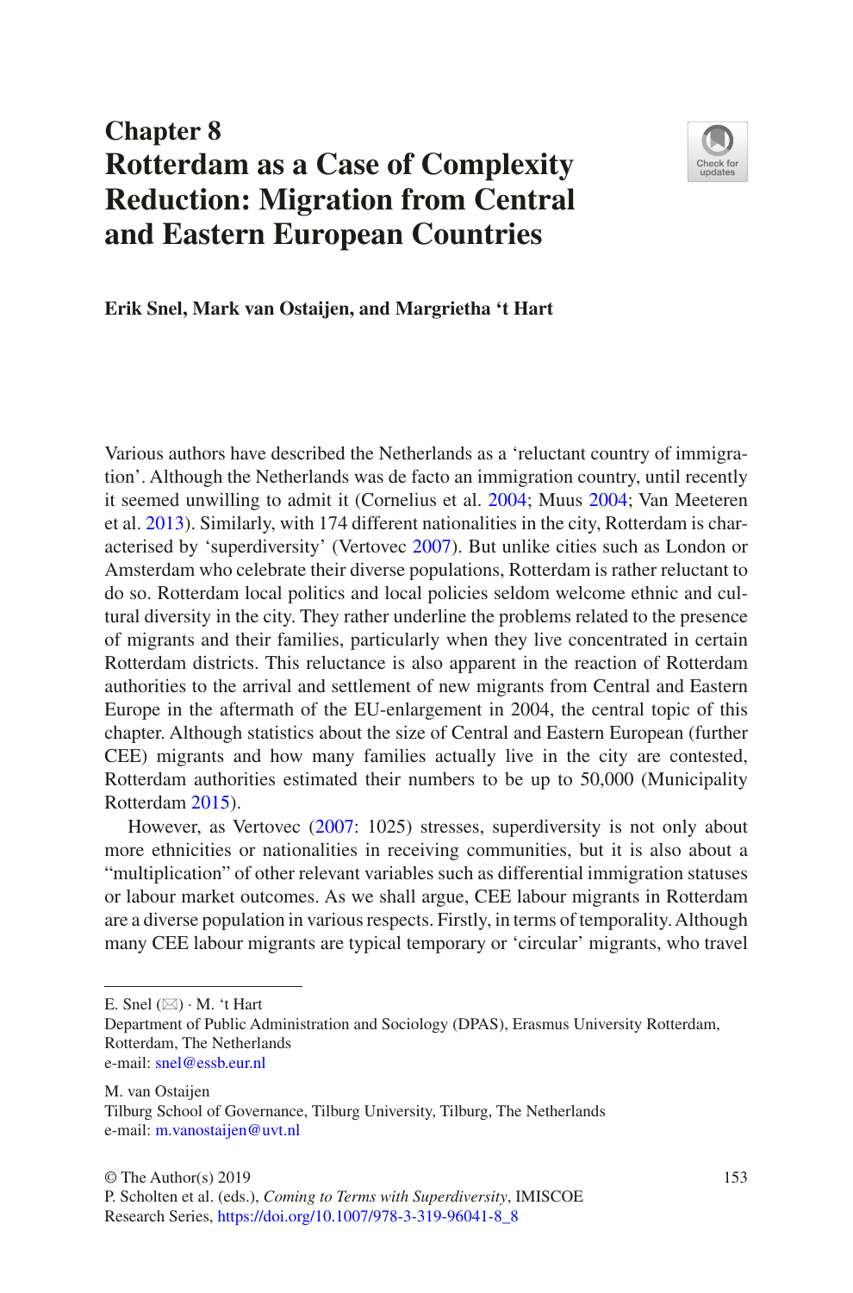# **Chapter 8 Rotterdam as a Case of Complexity Reduction: Migration from Central and Eastern European Countries**



**Erik Snel, Mark van Ostaijen, and Margrietha 't Hart**

Various authors have described the Netherlands as a 'reluctant country of immigration'. Although the Netherlands was de facto an immigration country, until recently it seemed unwilling to admit it (Cornelius et al. 2004; Muus 2004; Van Meeteren et al. 2013). Similarly, with 174 different nationalities in the city, Rotterdam is characterised by 'superdiversity' (Vertovec 2007). But unlike cities such as London or Amsterdam who celebrate their diverse populations, Rotterdam is rather reluctant to do so. Rotterdam local politics and local policies seldom welcome ethnic and cultural diversity in the city. They rather underline the problems related to the presence of migrants and their families, particularly when they live concentrated in certain Rotterdam districts. This reluctance is also apparent in the reaction of Rotterdam authorities to the arrival and settlement of new migrants from Central and Eastern Europe in the aftermath of the EU-enlargement in 2004, the central topic of this chapter. Although statistics about the size of Central and Eastern European (further CEE) migrants and how many families actually live in the city are contested, Rotterdam authorities estimated their numbers to be up to 50,000 (Municipality Rotterdam 2015).

However, as Vertovec (2007: 1025) stresses, superdiversity is not only about more ethnicities or nationalities in receiving communities, but it is also about a "multiplication" of other relevant variables such as differential immigration statuses or labour market outcomes. As we shall argue, CEE labour migrants in Rotterdam are a diverse population in various respects. Firstly, in terms of temporality. Although many CEE labour migrants are typical temporary or 'circular' migrants, who travel

E. Snel  $(\boxtimes) \cdot M$ . 't Hart

Department of Public Administration and Sociology (DPAS), Erasmus University Rotterdam, Rotterdam, The Netherlands e-mail: snel@essb.eur.nl

M. van Ostaijen Tilburg School of Governance, Tilburg University, Tilburg, The Netherlands e-mail: m.vanostaijen@uvt.nl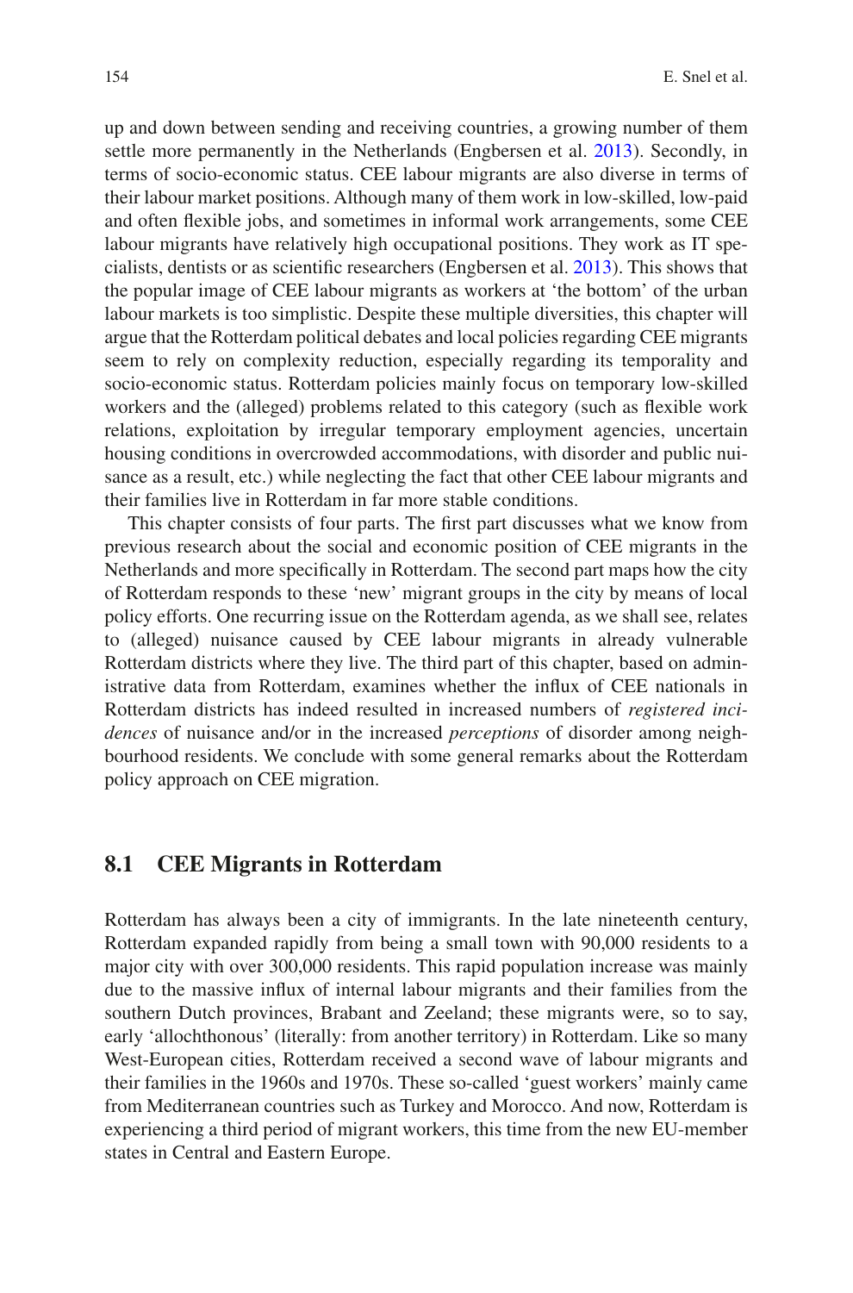up and down between sending and receiving countries, a growing number of them settle more permanently in the Netherlands (Engbersen et al. 2013). Secondly, in terms of socio-economic status. CEE labour migrants are also diverse in terms of their labour market positions. Although many of them work in low-skilled, low-paid and often flexible jobs, and sometimes in informal work arrangements, some CEE labour migrants have relatively high occupational positions. They work as IT specialists, dentists or as scientific researchers (Engbersen et al. 2013). This shows that the popular image of CEE labour migrants as workers at 'the bottom' of the urban labour markets is too simplistic. Despite these multiple diversities, this chapter will argue that the Rotterdam political debates and local policies regarding CEE migrants seem to rely on complexity reduction, especially regarding its temporality and socio-economic status. Rotterdam policies mainly focus on temporary low-skilled workers and the (alleged) problems related to this category (such as flexible work relations, exploitation by irregular temporary employment agencies, uncertain housing conditions in overcrowded accommodations, with disorder and public nuisance as a result, etc.) while neglecting the fact that other CEE labour migrants and their families live in Rotterdam in far more stable conditions.

This chapter consists of four parts. The first part discusses what we know from previous research about the social and economic position of CEE migrants in the Netherlands and more specifically in Rotterdam. The second part maps how the city of Rotterdam responds to these 'new' migrant groups in the city by means of local policy efforts. One recurring issue on the Rotterdam agenda, as we shall see, relates to (alleged) nuisance caused by CEE labour migrants in already vulnerable Rotterdam districts where they live. The third part of this chapter, based on administrative data from Rotterdam, examines whether the influx of CEE nationals in Rotterdam districts has indeed resulted in increased numbers of *registered incidences* of nuisance and/or in the increased *perceptions* of disorder among neighbourhood residents. We conclude with some general remarks about the Rotterdam policy approach on CEE migration.

#### **8.1 CEE Migrants in Rotterdam**

Rotterdam has always been a city of immigrants. In the late nineteenth century, Rotterdam expanded rapidly from being a small town with 90,000 residents to a major city with over 300,000 residents. This rapid population increase was mainly due to the massive influx of internal labour migrants and their families from the southern Dutch provinces, Brabant and Zeeland; these migrants were, so to say, early 'allochthonous' (literally: from another territory) in Rotterdam. Like so many West-European cities, Rotterdam received a second wave of labour migrants and their families in the 1960s and 1970s. These so-called 'guest workers' mainly came from Mediterranean countries such as Turkey and Morocco. And now, Rotterdam is experiencing a third period of migrant workers, this time from the new EU-member states in Central and Eastern Europe.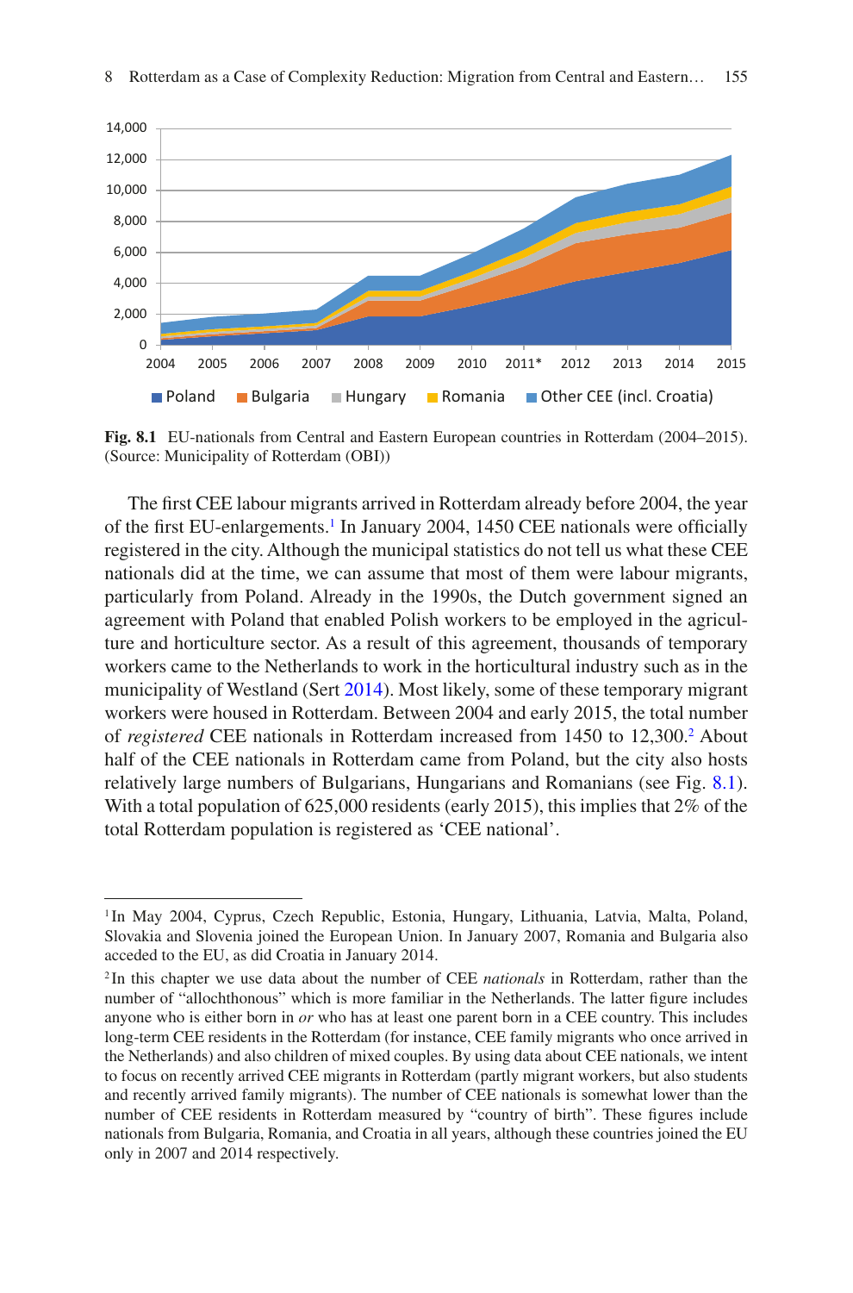

**Fig. 8.1** EU-nationals from Central and Eastern European countries in Rotterdam (2004–2015). (Source: Municipality of Rotterdam (OBI))

The first CEE labour migrants arrived in Rotterdam already before 2004, the year of the first EU-enlargements.<sup>1</sup> In January 2004, 1450 CEE nationals were officially registered in the city. Although the municipal statistics do not tell us what these CEE nationals did at the time, we can assume that most of them were labour migrants, particularly from Poland. Already in the 1990s, the Dutch government signed an agreement with Poland that enabled Polish workers to be employed in the agriculture and horticulture sector. As a result of this agreement, thousands of temporary workers came to the Netherlands to work in the horticultural industry such as in the municipality of Westland (Sert 2014). Most likely, some of these temporary migrant workers were housed in Rotterdam. Between 2004 and early 2015, the total number of *registered* CEE nationals in Rotterdam increased from 1450 to 12,300.<sup>2</sup> About half of the CEE nationals in Rotterdam came from Poland, but the city also hosts relatively large numbers of Bulgarians, Hungarians and Romanians (see Fig. 8.1). With a total population of 625,000 residents (early 2015), this implies that 2% of the total Rotterdam population is registered as 'CEE national'.

<sup>1</sup> In May 2004, Cyprus, Czech Republic, Estonia, Hungary, Lithuania, Latvia, Malta, Poland, Slovakia and Slovenia joined the European Union. In January 2007, Romania and Bulgaria also acceded to the EU, as did Croatia in January 2014.

<sup>2</sup> In this chapter we use data about the number of CEE *nationals* in Rotterdam, rather than the number of "allochthonous" which is more familiar in the Netherlands. The latter figure includes anyone who is either born in *or* who has at least one parent born in a CEE country. This includes long-term CEE residents in the Rotterdam (for instance, CEE family migrants who once arrived in the Netherlands) and also children of mixed couples. By using data about CEE nationals, we intent to focus on recently arrived CEE migrants in Rotterdam (partly migrant workers, but also students and recently arrived family migrants). The number of CEE nationals is somewhat lower than the number of CEE residents in Rotterdam measured by "country of birth". These figures include nationals from Bulgaria, Romania, and Croatia in all years, although these countries joined the EU only in 2007 and 2014 respectively.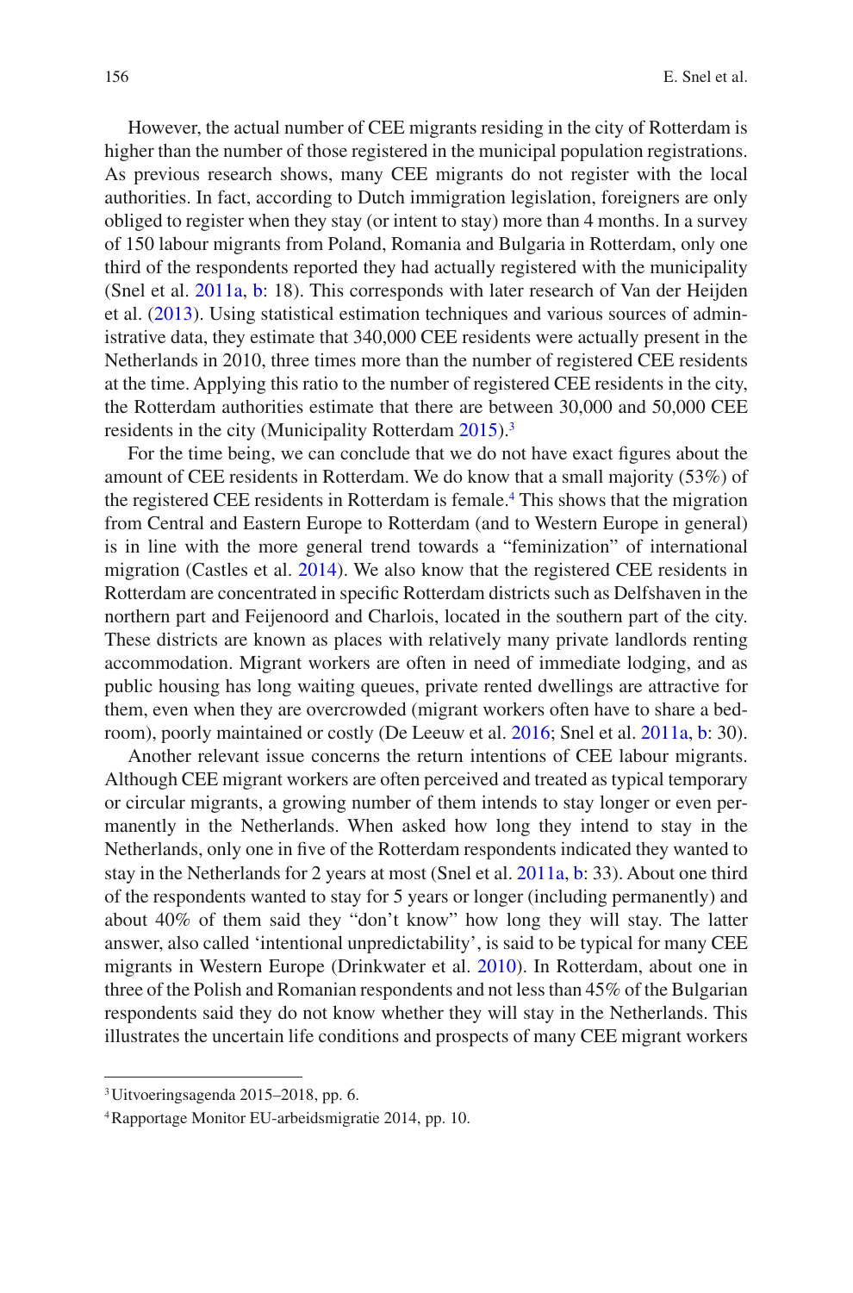However, the actual number of CEE migrants residing in the city of Rotterdam is higher than the number of those registered in the municipal population registrations. As previous research shows, many CEE migrants do not register with the local authorities. In fact, according to Dutch immigration legislation, foreigners are only obliged to register when they stay (or intent to stay) more than 4 months. In a survey of 150 labour migrants from Poland, Romania and Bulgaria in Rotterdam, only one third of the respondents reported they had actually registered with the municipality (Snel et al. 2011a, b: 18). This corresponds with later research of Van der Heijden et al. (2013). Using statistical estimation techniques and various sources of administrative data, they estimate that 340,000 CEE residents were actually present in the Netherlands in 2010, three times more than the number of registered CEE residents at the time. Applying this ratio to the number of registered CEE residents in the city, the Rotterdam authorities estimate that there are between 30,000 and 50,000 CEE residents in the city (Municipality Rotterdam 2015).3

For the time being, we can conclude that we do not have exact figures about the amount of CEE residents in Rotterdam. We do know that a small majority (53%) of the registered CEE residents in Rotterdam is female.<sup>4</sup> This shows that the migration from Central and Eastern Europe to Rotterdam (and to Western Europe in general) is in line with the more general trend towards a "feminization" of international migration (Castles et al. 2014). We also know that the registered CEE residents in Rotterdam are concentrated in specific Rotterdam districts such as Delfshaven in the northern part and Feijenoord and Charlois, located in the southern part of the city. These districts are known as places with relatively many private landlords renting accommodation. Migrant workers are often in need of immediate lodging, and as public housing has long waiting queues, private rented dwellings are attractive for them, even when they are overcrowded (migrant workers often have to share a bedroom), poorly maintained or costly (De Leeuw et al. 2016; Snel et al. 2011a, b: 30).

Another relevant issue concerns the return intentions of CEE labour migrants. Although CEE migrant workers are often perceived and treated as typical temporary or circular migrants, a growing number of them intends to stay longer or even permanently in the Netherlands. When asked how long they intend to stay in the Netherlands, only one in five of the Rotterdam respondents indicated they wanted to stay in the Netherlands for 2 years at most (Snel et al. 2011a, b: 33). About one third of the respondents wanted to stay for 5 years or longer (including permanently) and about 40% of them said they "don't know" how long they will stay. The latter answer, also called 'intentional unpredictability', is said to be typical for many CEE migrants in Western Europe (Drinkwater et al. 2010). In Rotterdam, about one in three of the Polish and Romanian respondents and not less than 45% of the Bulgarian respondents said they do not know whether they will stay in the Netherlands. This illustrates the uncertain life conditions and prospects of many CEE migrant workers

<sup>3</sup>Uitvoeringsagenda 2015–2018, pp. 6.

<sup>4</sup>Rapportage Monitor EU-arbeidsmigratie 2014, pp. 10.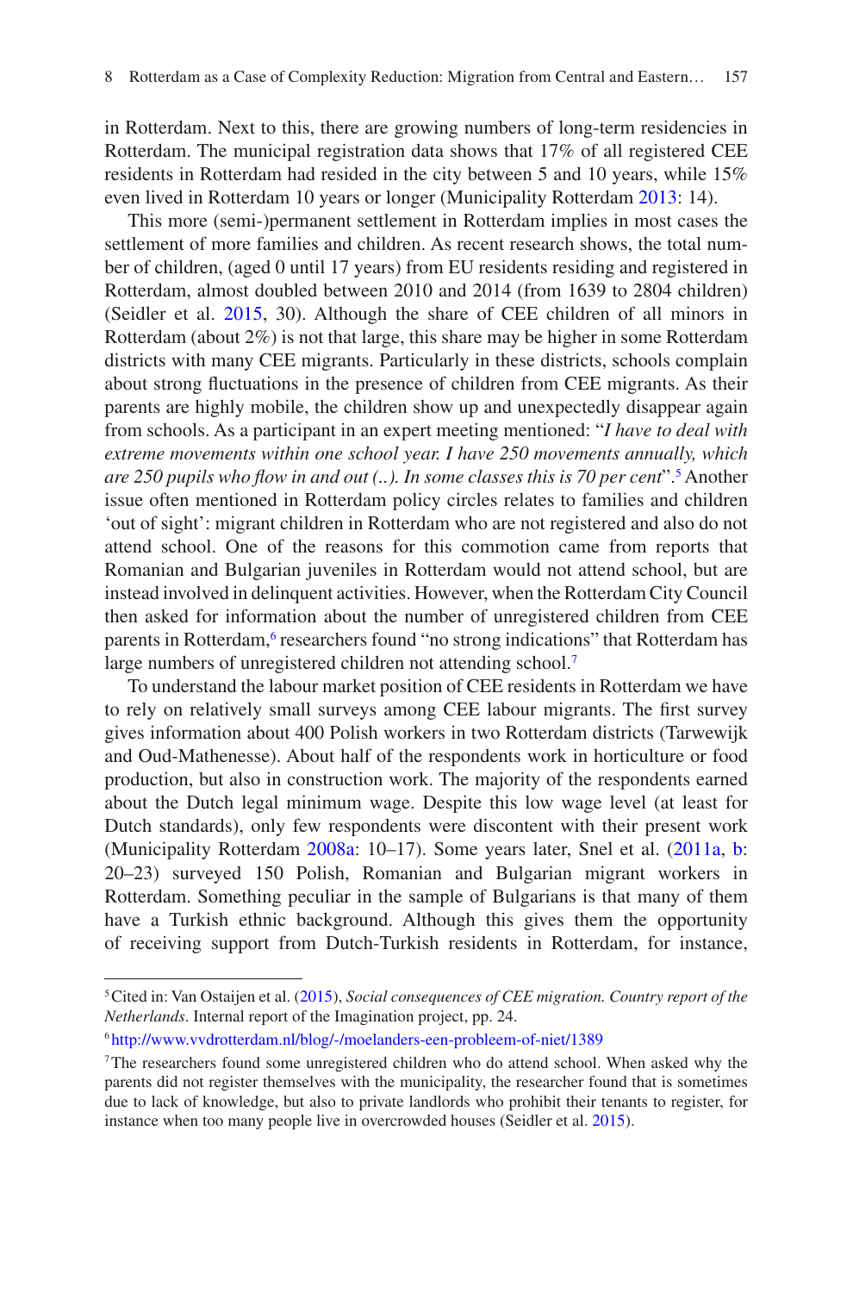in Rotterdam. Next to this, there are growing numbers of long-term residencies in Rotterdam. The municipal registration data shows that 17% of all registered CEE residents in Rotterdam had resided in the city between 5 and 10 years, while 15% even lived in Rotterdam 10 years or longer (Municipality Rotterdam 2013: 14).

This more (semi-)permanent settlement in Rotterdam implies in most cases the settlement of more families and children. As recent research shows, the total number of children, (aged 0 until 17 years) from EU residents residing and registered in Rotterdam, almost doubled between 2010 and 2014 (from 1639 to 2804 children) (Seidler et al. 2015, 30). Although the share of CEE children of all minors in Rotterdam (about 2%) is not that large, this share may be higher in some Rotterdam districts with many CEE migrants. Particularly in these districts, schools complain about strong fluctuations in the presence of children from CEE migrants. As their parents are highly mobile, the children show up and unexpectedly disappear again from schools. As a participant in an expert meeting mentioned: "*I have to deal with extreme movements within one school year. I have 250 movements annually, which are 250 pupils who flow in and out (..). In some classes this is 70 per cent*".5 Another issue often mentioned in Rotterdam policy circles relates to families and children 'out of sight': migrant children in Rotterdam who are not registered and also do not attend school. One of the reasons for this commotion came from reports that Romanian and Bulgarian juveniles in Rotterdam would not attend school, but are instead involved in delinquent activities. However, when the Rotterdam City Council then asked for information about the number of unregistered children from CEE parents in Rotterdam,<sup>6</sup> researchers found "no strong indications" that Rotterdam has large numbers of unregistered children not attending school.<sup>7</sup>

To understand the labour market position of CEE residents in Rotterdam we have to rely on relatively small surveys among CEE labour migrants. The first survey gives information about 400 Polish workers in two Rotterdam districts (Tarwewijk and Oud-Mathenesse). About half of the respondents work in horticulture or food production, but also in construction work. The majority of the respondents earned about the Dutch legal minimum wage. Despite this low wage level (at least for Dutch standards), only few respondents were discontent with their present work (Municipality Rotterdam 2008a: 10–17). Some years later, Snel et al. (2011a, b: 20–23) surveyed 150 Polish, Romanian and Bulgarian migrant workers in Rotterdam. Something peculiar in the sample of Bulgarians is that many of them have a Turkish ethnic background. Although this gives them the opportunity of receiving support from Dutch-Turkish residents in Rotterdam, for instance,

<sup>5</sup>Cited in: Van Ostaijen et al. (2015), *Social consequences of CEE migration. Country report of the Netherlands*. Internal report of the Imagination project, pp. 24.

<sup>6</sup> http://www.vvdrotterdam.nl/blog/-/moelanders-een-probleem-of-niet/1389

<sup>7</sup>The researchers found some unregistered children who do attend school. When asked why the parents did not register themselves with the municipality, the researcher found that is sometimes due to lack of knowledge, but also to private landlords who prohibit their tenants to register, for instance when too many people live in overcrowded houses (Seidler et al. 2015).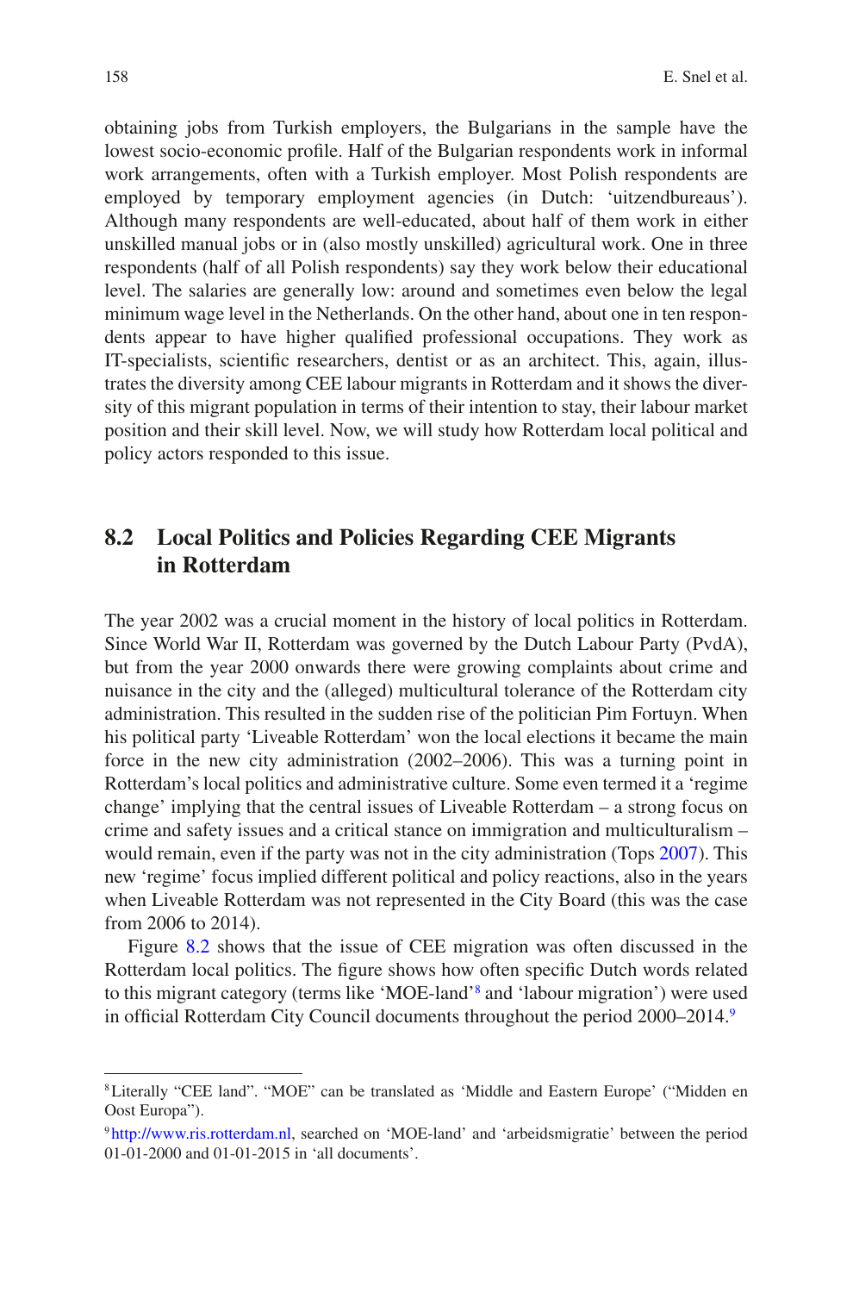obtaining jobs from Turkish employers, the Bulgarians in the sample have the lowest socio-economic profile. Half of the Bulgarian respondents work in informal work arrangements, often with a Turkish employer. Most Polish respondents are employed by temporary employment agencies (in Dutch: 'uitzendbureaus'). Although many respondents are well-educated, about half of them work in either unskilled manual jobs or in (also mostly unskilled) agricultural work. One in three respondents (half of all Polish respondents) say they work below their educational level. The salaries are generally low: around and sometimes even below the legal minimum wage level in the Netherlands. On the other hand, about one in ten respondents appear to have higher qualified professional occupations. They work as IT-specialists, scientific researchers, dentist or as an architect. This, again, illustrates the diversity among CEE labour migrants in Rotterdam and it shows the diversity of this migrant population in terms of their intention to stay, their labour market position and their skill level. Now, we will study how Rotterdam local political and policy actors responded to this issue.

### **8.2 Local Politics and Policies Regarding CEE Migrants in Rotterdam**

The year 2002 was a crucial moment in the history of local politics in Rotterdam. Since World War II, Rotterdam was governed by the Dutch Labour Party (PvdA), but from the year 2000 onwards there were growing complaints about crime and nuisance in the city and the (alleged) multicultural tolerance of the Rotterdam city administration. This resulted in the sudden rise of the politician Pim Fortuyn. When his political party 'Liveable Rotterdam' won the local elections it became the main force in the new city administration (2002–2006). This was a turning point in Rotterdam's local politics and administrative culture. Some even termed it a 'regime change' implying that the central issues of Liveable Rotterdam – a strong focus on crime and safety issues and a critical stance on immigration and multiculturalism – would remain, even if the party was not in the city administration (Tops 2007). This new 'regime' focus implied different political and policy reactions, also in the years when Liveable Rotterdam was not represented in the City Board (this was the case from 2006 to 2014).

Figure 8.2 shows that the issue of CEE migration was often discussed in the Rotterdam local politics. The figure shows how often specific Dutch words related to this migrant category (terms like 'MOE-land'<sup>8</sup> and 'labour migration') were used in official Rotterdam City Council documents throughout the period 2000–2014.9

<sup>8</sup>Literally "CEE land". "MOE" can be translated as 'Middle and Eastern Europe' ("Midden en Oost Europa").

<sup>9</sup> http://www.ris.rotterdam.nl, searched on 'MOE-land' and 'arbeidsmigratie' between the period 01-01-2000 and 01-01-2015 in 'all documents'.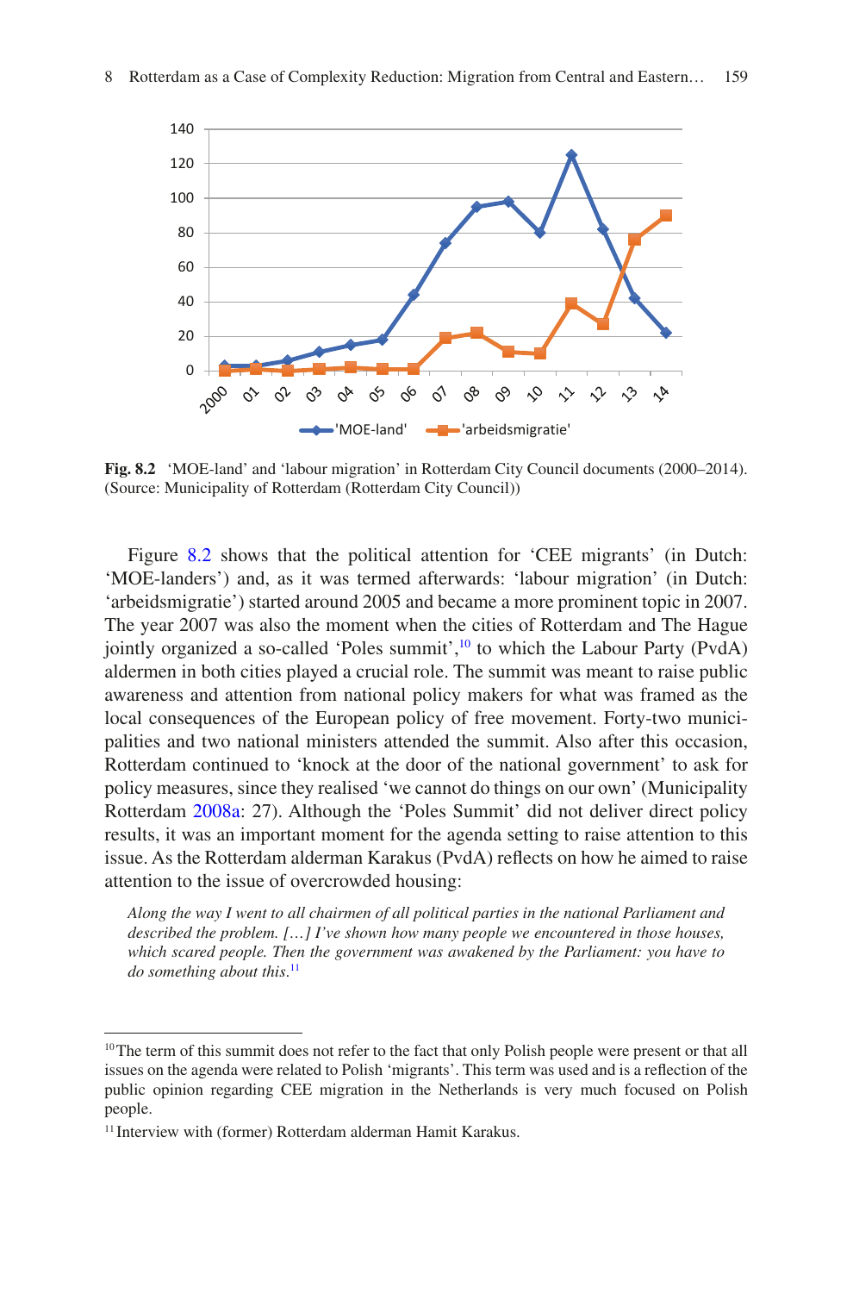

**Fig. 8.2** 'MOE-land' and 'labour migration' in Rotterdam City Council documents (2000–2014). (Source: Municipality of Rotterdam (Rotterdam City Council))

Figure 8.2 shows that the political attention for 'CEE migrants' (in Dutch: 'MOE-landers') and, as it was termed afterwards: 'labour migration' (in Dutch: 'arbeidsmigratie') started around 2005 and became a more prominent topic in 2007. The year 2007 was also the moment when the cities of Rotterdam and The Hague jointly organized a so-called 'Poles summit',<sup>10</sup> to which the Labour Party (PvdA) aldermen in both cities played a crucial role. The summit was meant to raise public awareness and attention from national policy makers for what was framed as the local consequences of the European policy of free movement. Forty-two municipalities and two national ministers attended the summit. Also after this occasion, Rotterdam continued to 'knock at the door of the national government' to ask for policy measures, since they realised 'we cannot do things on our own' (Municipality Rotterdam 2008a: 27). Although the 'Poles Summit' did not deliver direct policy results, it was an important moment for the agenda setting to raise attention to this issue. As the Rotterdam alderman Karakus (PvdA) reflects on how he aimed to raise attention to the issue of overcrowded housing:

*Along the way I went to all chairmen of all political parties in the national Parliament and described the problem. […] I've shown how many people we encountered in those houses, which scared people. Then the government was awakened by the Parliament: you have to do something about this*. 11

<sup>&</sup>lt;sup>10</sup>The term of this summit does not refer to the fact that only Polish people were present or that all issues on the agenda were related to Polish 'migrants'. This term was used and is a reflection of the public opinion regarding CEE migration in the Netherlands is very much focused on Polish people.

<sup>&</sup>lt;sup>11</sup> Interview with (former) Rotterdam alderman Hamit Karakus.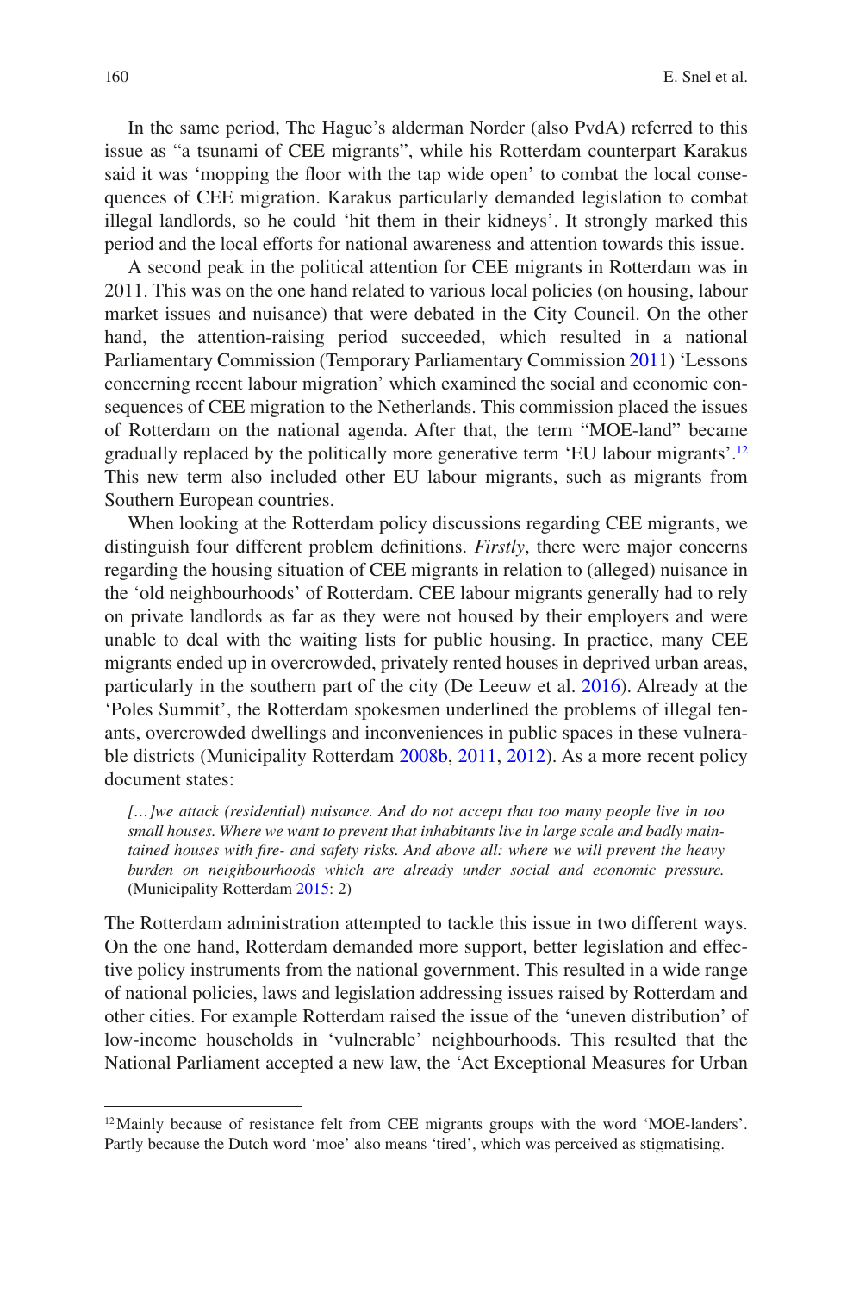In the same period, The Hague's alderman Norder (also PvdA) referred to this issue as "a tsunami of CEE migrants", while his Rotterdam counterpart Karakus said it was 'mopping the floor with the tap wide open' to combat the local consequences of CEE migration. Karakus particularly demanded legislation to combat illegal landlords, so he could 'hit them in their kidneys'. It strongly marked this period and the local efforts for national awareness and attention towards this issue.

A second peak in the political attention for CEE migrants in Rotterdam was in 2011. This was on the one hand related to various local policies (on housing, labour market issues and nuisance) that were debated in the City Council. On the other hand, the attention-raising period succeeded, which resulted in a national Parliamentary Commission (Temporary Parliamentary Commission 2011) 'Lessons concerning recent labour migration' which examined the social and economic consequences of CEE migration to the Netherlands. This commission placed the issues of Rotterdam on the national agenda. After that, the term "MOE-land" became gradually replaced by the politically more generative term 'EU labour migrants'.12 This new term also included other EU labour migrants, such as migrants from Southern European countries.

When looking at the Rotterdam policy discussions regarding CEE migrants, we distinguish four different problem definitions. *Firstly*, there were major concerns regarding the housing situation of CEE migrants in relation to (alleged) nuisance in the 'old neighbourhoods' of Rotterdam. CEE labour migrants generally had to rely on private landlords as far as they were not housed by their employers and were unable to deal with the waiting lists for public housing. In practice, many CEE migrants ended up in overcrowded, privately rented houses in deprived urban areas, particularly in the southern part of the city (De Leeuw et al. 2016). Already at the 'Poles Summit', the Rotterdam spokesmen underlined the problems of illegal tenants, overcrowded dwellings and inconveniences in public spaces in these vulnerable districts (Municipality Rotterdam 2008b, 2011, 2012). As a more recent policy document states:

*[…]we attack (residential) nuisance. And do not accept that too many people live in too small houses. Where we want to prevent that inhabitants live in large scale and badly maintained houses with fire- and safety risks. And above all: where we will prevent the heavy burden on neighbourhoods which are already under social and economic pressure.* (Municipality Rotterdam 2015: 2)

The Rotterdam administration attempted to tackle this issue in two different ways. On the one hand, Rotterdam demanded more support, better legislation and effective policy instruments from the national government. This resulted in a wide range of national policies, laws and legislation addressing issues raised by Rotterdam and other cities. For example Rotterdam raised the issue of the 'uneven distribution' of low-income households in 'vulnerable' neighbourhoods. This resulted that the National Parliament accepted a new law, the 'Act Exceptional Measures for Urban

<sup>&</sup>lt;sup>12</sup>Mainly because of resistance felt from CEE migrants groups with the word 'MOE-landers'. Partly because the Dutch word 'moe' also means 'tired', which was perceived as stigmatising.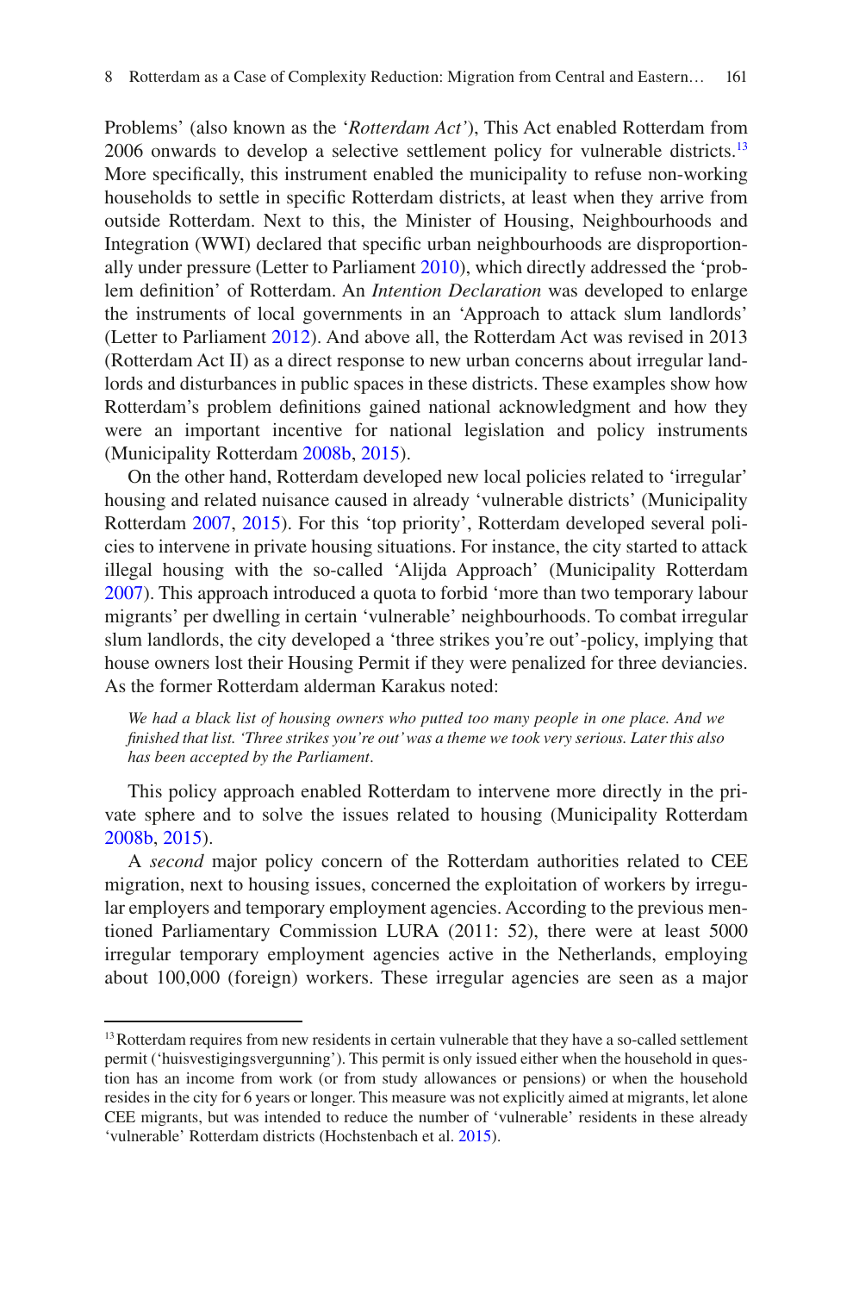Problems' (also known as the '*Rotterdam Act'*), This Act enabled Rotterdam from 2006 onwards to develop a selective settlement policy for vulnerable districts.13 More specifically, this instrument enabled the municipality to refuse non-working households to settle in specific Rotterdam districts, at least when they arrive from outside Rotterdam. Next to this, the Minister of Housing, Neighbourhoods and Integration (WWI) declared that specific urban neighbourhoods are disproportionally under pressure (Letter to Parliament 2010), which directly addressed the 'problem definition' of Rotterdam. An *Intention Declaration* was developed to enlarge the instruments of local governments in an 'Approach to attack slum landlords' (Letter to Parliament 2012). And above all, the Rotterdam Act was revised in 2013 (Rotterdam Act II) as a direct response to new urban concerns about irregular landlords and disturbances in public spaces in these districts. These examples show how Rotterdam's problem definitions gained national acknowledgment and how they were an important incentive for national legislation and policy instruments (Municipality Rotterdam 2008b, 2015).

On the other hand, Rotterdam developed new local policies related to 'irregular' housing and related nuisance caused in already 'vulnerable districts' (Municipality Rotterdam 2007, 2015). For this 'top priority', Rotterdam developed several policies to intervene in private housing situations. For instance, the city started to attack illegal housing with the so-called 'Alijda Approach' (Municipality Rotterdam 2007). This approach introduced a quota to forbid 'more than two temporary labour migrants' per dwelling in certain 'vulnerable' neighbourhoods. To combat irregular slum landlords, the city developed a 'three strikes you're out'-policy, implying that house owners lost their Housing Permit if they were penalized for three deviancies. As the former Rotterdam alderman Karakus noted:

*We had a black list of housing owners who putted too many people in one place. And we finished that list. 'Three strikes you're out' was a theme we took very serious. Later this also has been accepted by the Parliament*.

This policy approach enabled Rotterdam to intervene more directly in the private sphere and to solve the issues related to housing (Municipality Rotterdam 2008b, 2015).

A *second* major policy concern of the Rotterdam authorities related to CEE migration, next to housing issues, concerned the exploitation of workers by irregular employers and temporary employment agencies. According to the previous mentioned Parliamentary Commission LURA (2011: 52), there were at least 5000 irregular temporary employment agencies active in the Netherlands, employing about 100,000 (foreign) workers. These irregular agencies are seen as a major

<sup>&</sup>lt;sup>13</sup>Rotterdam requires from new residents in certain vulnerable that they have a so-called settlement permit ('huisvestigingsvergunning'). This permit is only issued either when the household in question has an income from work (or from study allowances or pensions) or when the household resides in the city for 6 years or longer. This measure was not explicitly aimed at migrants, let alone CEE migrants, but was intended to reduce the number of 'vulnerable' residents in these already 'vulnerable' Rotterdam districts (Hochstenbach et al. 2015).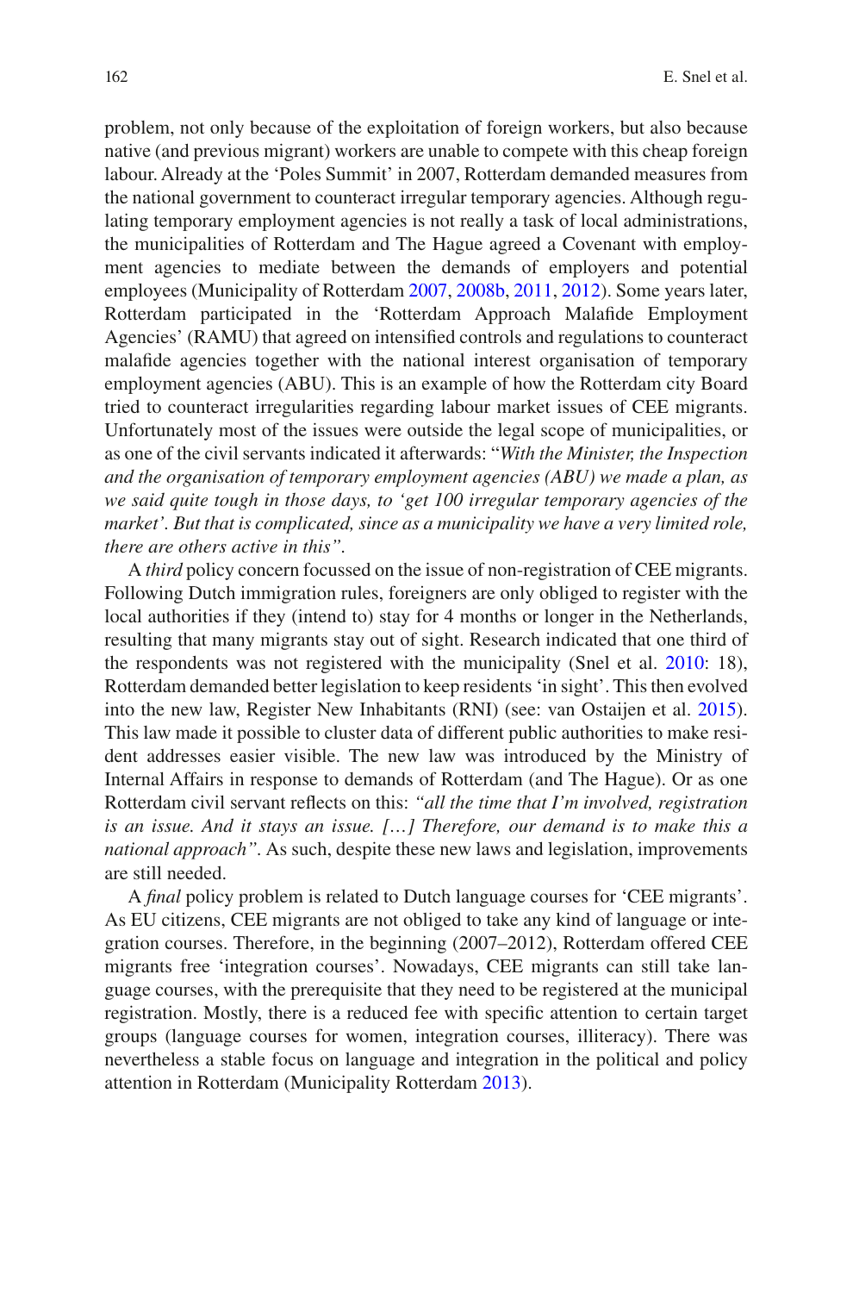problem, not only because of the exploitation of foreign workers, but also because native (and previous migrant) workers are unable to compete with this cheap foreign labour. Already at the 'Poles Summit' in 2007, Rotterdam demanded measures from the national government to counteract irregular temporary agencies. Although regulating temporary employment agencies is not really a task of local administrations, the municipalities of Rotterdam and The Hague agreed a Covenant with employment agencies to mediate between the demands of employers and potential employees (Municipality of Rotterdam 2007, 2008b, 2011, 2012). Some years later, Rotterdam participated in the 'Rotterdam Approach Malafide Employment Agencies' (RAMU) that agreed on intensified controls and regulations to counteract malafide agencies together with the national interest organisation of temporary employment agencies (ABU). This is an example of how the Rotterdam city Board tried to counteract irregularities regarding labour market issues of CEE migrants. Unfortunately most of the issues were outside the legal scope of municipalities, or as one of the civil servants indicated it afterwards: "*With the Minister, the Inspection and the organisation of temporary employment agencies (ABU) we made a plan, as we said quite tough in those days, to 'get 100 irregular temporary agencies of the market'. But that is complicated, since as a municipality we have a very limited role, there are others active in this".*

A *third* policy concern focussed on the issue of non-registration of CEE migrants. Following Dutch immigration rules, foreigners are only obliged to register with the local authorities if they (intend to) stay for 4 months or longer in the Netherlands, resulting that many migrants stay out of sight. Research indicated that one third of the respondents was not registered with the municipality (Snel et al. 2010: 18), Rotterdam demanded better legislation to keep residents 'in sight'. This then evolved into the new law, Register New Inhabitants (RNI) (see: van Ostaijen et al. 2015). This law made it possible to cluster data of different public authorities to make resident addresses easier visible. The new law was introduced by the Ministry of Internal Affairs in response to demands of Rotterdam (and The Hague). Or as one Rotterdam civil servant reflects on this: *"all the time that I'm involved, registration is an issue. And it stays an issue. […] Therefore, our demand is to make this a national approach".* As such, despite these new laws and legislation, improvements are still needed.

A *final* policy problem is related to Dutch language courses for 'CEE migrants'. As EU citizens, CEE migrants are not obliged to take any kind of language or integration courses. Therefore, in the beginning (2007–2012), Rotterdam offered CEE migrants free 'integration courses'. Nowadays, CEE migrants can still take language courses, with the prerequisite that they need to be registered at the municipal registration. Mostly, there is a reduced fee with specific attention to certain target groups (language courses for women, integration courses, illiteracy). There was nevertheless a stable focus on language and integration in the political and policy attention in Rotterdam (Municipality Rotterdam 2013).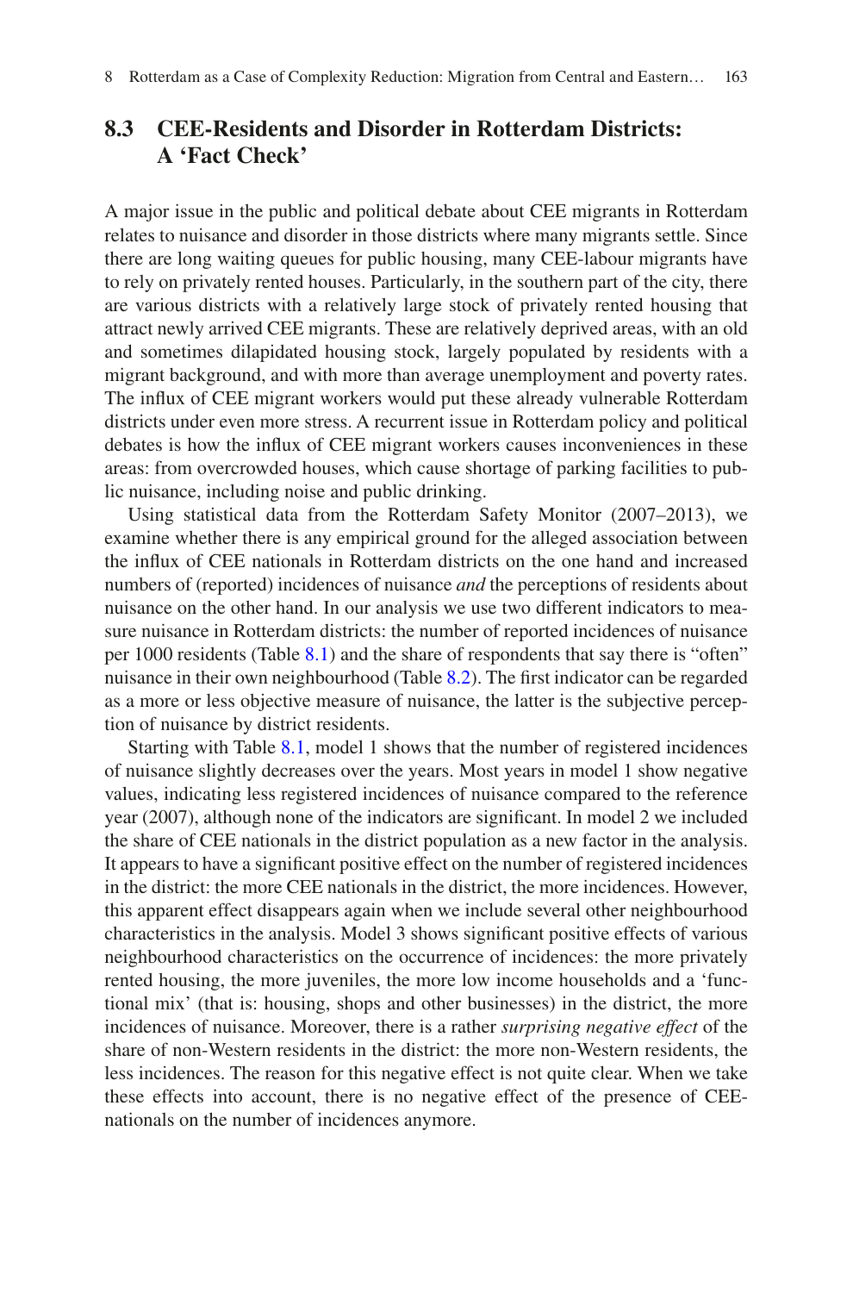## **8.3 CEE-Residents and Disorder in Rotterdam Districts: A 'Fact Check'**

A major issue in the public and political debate about CEE migrants in Rotterdam relates to nuisance and disorder in those districts where many migrants settle. Since there are long waiting queues for public housing, many CEE-labour migrants have to rely on privately rented houses. Particularly, in the southern part of the city, there are various districts with a relatively large stock of privately rented housing that attract newly arrived CEE migrants. These are relatively deprived areas, with an old and sometimes dilapidated housing stock, largely populated by residents with a migrant background, and with more than average unemployment and poverty rates. The influx of CEE migrant workers would put these already vulnerable Rotterdam districts under even more stress. A recurrent issue in Rotterdam policy and political debates is how the influx of CEE migrant workers causes inconveniences in these areas: from overcrowded houses, which cause shortage of parking facilities to public nuisance, including noise and public drinking.

Using statistical data from the Rotterdam Safety Monitor (2007–2013), we examine whether there is any empirical ground for the alleged association between the influx of CEE nationals in Rotterdam districts on the one hand and increased numbers of (reported) incidences of nuisance *and* the perceptions of residents about nuisance on the other hand. In our analysis we use two different indicators to measure nuisance in Rotterdam districts: the number of reported incidences of nuisance per 1000 residents (Table 8.1) and the share of respondents that say there is "often" nuisance in their own neighbourhood (Table 8.2). The first indicator can be regarded as a more or less objective measure of nuisance, the latter is the subjective perception of nuisance by district residents.

Starting with Table 8.1, model 1 shows that the number of registered incidences of nuisance slightly decreases over the years. Most years in model 1 show negative values, indicating less registered incidences of nuisance compared to the reference year (2007), although none of the indicators are significant. In model 2 we included the share of CEE nationals in the district population as a new factor in the analysis. It appears to have a significant positive effect on the number of registered incidences in the district: the more CEE nationals in the district, the more incidences. However, this apparent effect disappears again when we include several other neighbourhood characteristics in the analysis. Model 3 shows significant positive effects of various neighbourhood characteristics on the occurrence of incidences: the more privately rented housing, the more juveniles, the more low income households and a 'functional mix' (that is: housing, shops and other businesses) in the district, the more incidences of nuisance. Moreover, there is a rather *surprising negative effect* of the share of non-Western residents in the district: the more non-Western residents, the less incidences. The reason for this negative effect is not quite clear. When we take these effects into account, there is no negative effect of the presence of CEEnationals on the number of incidences anymore.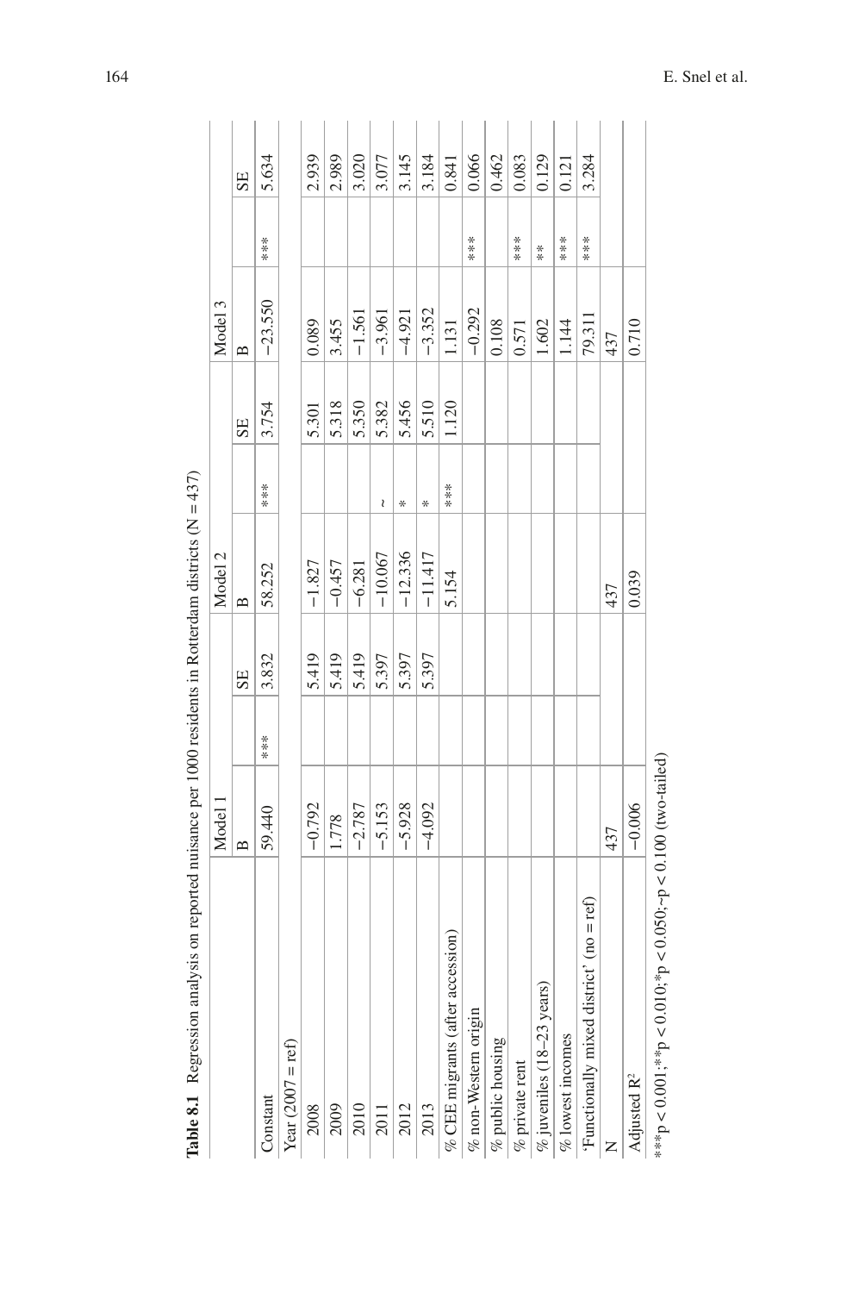| The Line of the Line contribution is a sequence of the contribution of the contribution of the contribution of the Line of Line and the Line of Line and the Line of Line of the Line of Line of Line and Line of Line of Line | Model 1      |     |       | Model 2      |     |       | Model 3        |                   |       |
|--------------------------------------------------------------------------------------------------------------------------------------------------------------------------------------------------------------------------------|--------------|-----|-------|--------------|-----|-------|----------------|-------------------|-------|
|                                                                                                                                                                                                                                | $\mathbf{a}$ |     | SE    | $\mathbf{a}$ |     | SE    | $\mathbf{\Xi}$ |                   | SE    |
| Constant                                                                                                                                                                                                                       | 59.440       | *** | 3.832 | 58.252       | *** | 3.754 | $-23.550$      | ***               | 5.634 |
| Year $(2007 = ref)$                                                                                                                                                                                                            |              |     |       |              |     |       |                |                   |       |
| 2008                                                                                                                                                                                                                           | $-0.792$     |     | 5.419 | $-1.827$     |     | 5.301 | 0.089          |                   | 2.939 |
| 2009                                                                                                                                                                                                                           | 1.778        |     | 5.419 | $-0.457$     |     | 5.318 | 3.455          |                   | 2.989 |
| 2010                                                                                                                                                                                                                           | $-2.787$     |     | 5.419 | $-6.281$     |     | 5.350 | $-1.561$       |                   | 3.020 |
| 2011                                                                                                                                                                                                                           | $-5.153$     |     | 5.397 | $-10.067$    | Į   | 5.382 | $-3.961$       |                   | 3.077 |
| 2012                                                                                                                                                                                                                           | $-5.928$     |     | 5.397 | $-12.336$    | ₩   | 5.456 | $-4.921$       |                   | 3.145 |
| 2013                                                                                                                                                                                                                           | $-4.092$     |     | 5.397 | $-11.417$    | ₩   | 5.510 | $-3.352$       |                   | 3.184 |
| % CEE migrants (after accession)                                                                                                                                                                                               |              |     |       | 5.154        | *** | 1.120 | $1.131$        |                   | 0.841 |
| % non-Western origin                                                                                                                                                                                                           |              |     |       |              |     |       | $-0.292$       | ***               | 0.066 |
| $%$ public housing                                                                                                                                                                                                             |              |     |       |              |     |       | 0.108          |                   | 0.462 |
| $%$ private rent                                                                                                                                                                                                               |              |     |       |              |     |       | 0.571          | ***               | 0.083 |
| $%$ juveniles (18–23 years)                                                                                                                                                                                                    |              |     |       |              |     |       | 1.602          | $\stackrel{*}{*}$ | 0.129 |
| $%$ lowest incomes                                                                                                                                                                                                             |              |     |       |              |     |       | 1.144          | ***               | 0.121 |
| 'Functionally mixed district' (no = ref)                                                                                                                                                                                       |              |     |       |              |     |       | 79.311         | ***               | 3.284 |
| Z                                                                                                                                                                                                                              | 437          |     |       | 437          |     |       | 437            |                   |       |
| Adjusted R <sup>2</sup>                                                                                                                                                                                                        | $-0.006$     |     |       | 0.039        |     |       | 0.710          |                   |       |
|                                                                                                                                                                                                                                |              |     |       |              |     |       |                |                   |       |

**Table 8.1** Recression analysis on reported missance per 1000 residents in Rotterdam districts ( $N = 437$ ) **Table 8.1** Regression analysis on reported nuisance per 1000 residents in Rotterdam districts (N = 437)

164

\*\*\*p < 0.001;\*\*p < 0.010;\*p < 0.050;~p < 0.100 (two-tailed) \*\*\*p < 0.001;\*\*p < 0.010;\*p < 0.050;~p < 0.100 (two-tailed)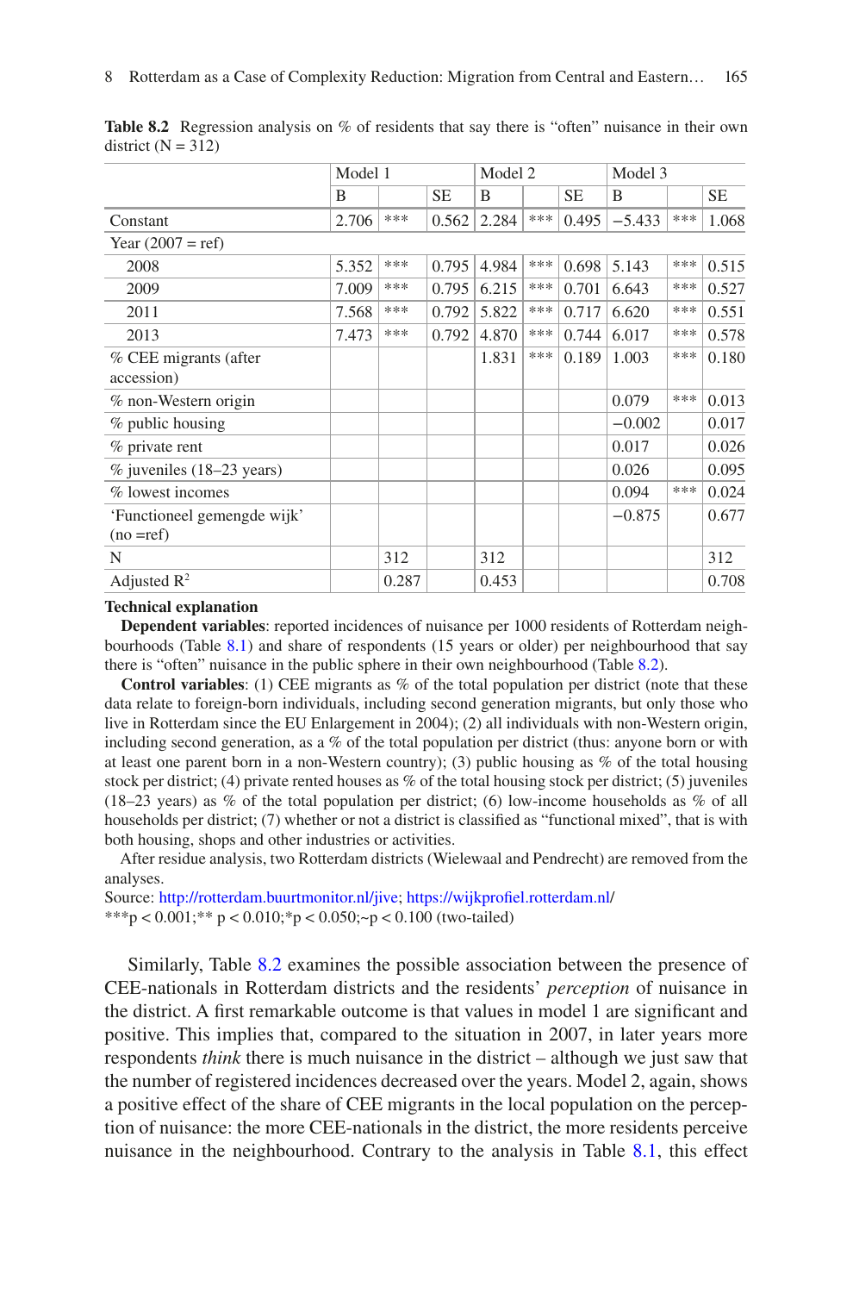|                             | Model 1 |       | Model 2   |       |     | Model 3 |          |     |       |
|-----------------------------|---------|-------|-----------|-------|-----|---------|----------|-----|-------|
|                             | B       |       | <b>SE</b> | B     |     | SE      | B        |     | SE.   |
| Constant                    | 2.706   | ***   | 0.562     | 2.284 | *** | 0.495   | $-5.433$ | *** | 1.068 |
| Year $(2007 = ref)$         |         |       |           |       |     |         |          |     |       |
| 2008                        | 5.352   | ***   | 0.795     | 4.984 | *** | 0.698   | 5.143    | *** | 0.515 |
| 2009                        | 7.009   | ***   | 0.795     | 6.215 | *** | 0.701   | 6.643    | *** | 0.527 |
| 2011                        | 7.568   | ***   | 0.792     | 5.822 | *** | 0.717   | 6.620    | *** | 0.551 |
| 2013                        | 7.473   | ***   | 0.792     | 4.870 | *** | 0.744   | 6.017    | *** | 0.578 |
| % CEE migrants (after       |         |       |           | 1.831 | *** | 0.189   | 1.003    | *** | 0.180 |
| accession)                  |         |       |           |       |     |         |          |     |       |
| % non-Western origin        |         |       |           |       |     |         | 0.079    | *** | 0.013 |
| % public housing            |         |       |           |       |     |         | $-0.002$ |     | 0.017 |
| % private rent              |         |       |           |       |     |         | 0.017    |     | 0.026 |
| % juveniles (18-23 years)   |         |       |           |       |     |         | 0.026    |     | 0.095 |
| % lowest incomes            |         |       |           |       |     |         | 0.094    | *** | 0.024 |
| 'Functioneel gemengde wijk' |         |       |           |       |     |         | $-0.875$ |     | 0.677 |
| $(no = ref)$                |         |       |           |       |     |         |          |     |       |
| N                           |         | 312   |           | 312   |     |         |          |     | 312   |
| Adjusted $\mathbb{R}^2$     |         | 0.287 |           | 0.453 |     |         |          |     | 0.708 |

**Table 8.2** Regression analysis on % of residents that say there is "often" nuisance in their own district  $(N = 312)$ 

#### **Technical explanation**

**Dependent variables**: reported incidences of nuisance per 1000 residents of Rotterdam neighbourhoods (Table 8.1) and share of respondents (15 years or older) per neighbourhood that say there is "often" nuisance in the public sphere in their own neighbourhood (Table 8.2).

**Control variables**: (1) CEE migrants as % of the total population per district (note that these data relate to foreign-born individuals, including second generation migrants, but only those who live in Rotterdam since the EU Enlargement in 2004); (2) all individuals with non-Western origin, including second generation, as a % of the total population per district (thus: anyone born or with at least one parent born in a non-Western country); (3) public housing as  $%$  of the total housing stock per district; (4) private rented houses as % of the total housing stock per district; (5) juveniles (18–23 years) as % of the total population per district; (6) low-income households as % of all households per district; (7) whether or not a district is classified as "functional mixed", that is with both housing, shops and other industries or activities.

After residue analysis, two Rotterdam districts (Wielewaal and Pendrecht) are removed from the analyses.

Source: http://rotterdam.buurtmonitor.nl/jive; https://wijkprofiel.rotterdam.nl/ \*\*\*p <  $0.001$ ;\*\* p <  $0.010$ ;\*p <  $0.050$ ;~p <  $0.100$  (two-tailed)

Similarly, Table 8.2 examines the possible association between the presence of CEE-nationals in Rotterdam districts and the residents' *perception* of nuisance in the district. A first remarkable outcome is that values in model 1 are significant and positive. This implies that, compared to the situation in 2007, in later years more respondents *think* there is much nuisance in the district – although we just saw that the number of registered incidences decreased over the years. Model 2, again, shows a positive effect of the share of CEE migrants in the local population on the perception of nuisance: the more CEE-nationals in the district, the more residents perceive nuisance in the neighbourhood. Contrary to the analysis in Table 8.1, this effect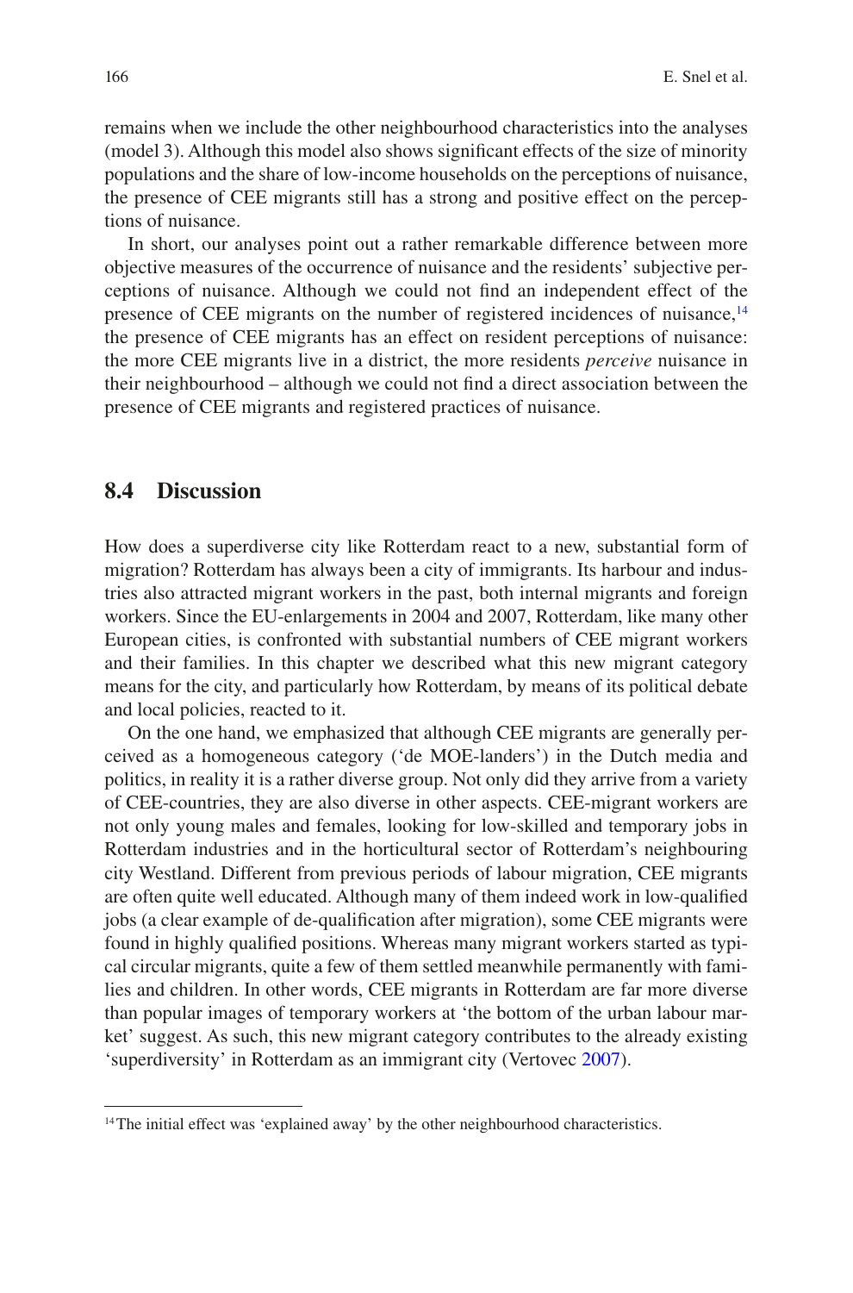remains when we include the other neighbourhood characteristics into the analyses (model 3). Although this model also shows significant effects of the size of minority populations and the share of low-income households on the perceptions of nuisance, the presence of CEE migrants still has a strong and positive effect on the perceptions of nuisance.

In short, our analyses point out a rather remarkable difference between more objective measures of the occurrence of nuisance and the residents' subjective perceptions of nuisance. Although we could not find an independent effect of the presence of CEE migrants on the number of registered incidences of nuisance,<sup>14</sup> the presence of CEE migrants has an effect on resident perceptions of nuisance: the more CEE migrants live in a district, the more residents *perceive* nuisance in their neighbourhood – although we could not find a direct association between the presence of CEE migrants and registered practices of nuisance.

#### **8.4 Discussion**

How does a superdiverse city like Rotterdam react to a new, substantial form of migration? Rotterdam has always been a city of immigrants. Its harbour and industries also attracted migrant workers in the past, both internal migrants and foreign workers. Since the EU-enlargements in 2004 and 2007, Rotterdam, like many other European cities, is confronted with substantial numbers of CEE migrant workers and their families. In this chapter we described what this new migrant category means for the city, and particularly how Rotterdam, by means of its political debate and local policies, reacted to it.

On the one hand, we emphasized that although CEE migrants are generally perceived as a homogeneous category ('de MOE-landers') in the Dutch media and politics, in reality it is a rather diverse group. Not only did they arrive from a variety of CEE-countries, they are also diverse in other aspects. CEE-migrant workers are not only young males and females, looking for low-skilled and temporary jobs in Rotterdam industries and in the horticultural sector of Rotterdam's neighbouring city Westland. Different from previous periods of labour migration, CEE migrants are often quite well educated. Although many of them indeed work in low-qualified jobs (a clear example of de-qualification after migration), some CEE migrants were found in highly qualified positions. Whereas many migrant workers started as typical circular migrants, quite a few of them settled meanwhile permanently with families and children. In other words, CEE migrants in Rotterdam are far more diverse than popular images of temporary workers at 'the bottom of the urban labour market' suggest. As such, this new migrant category contributes to the already existing 'superdiversity' in Rotterdam as an immigrant city (Vertovec 2007).

<sup>&</sup>lt;sup>14</sup>The initial effect was 'explained away' by the other neighbourhood characteristics.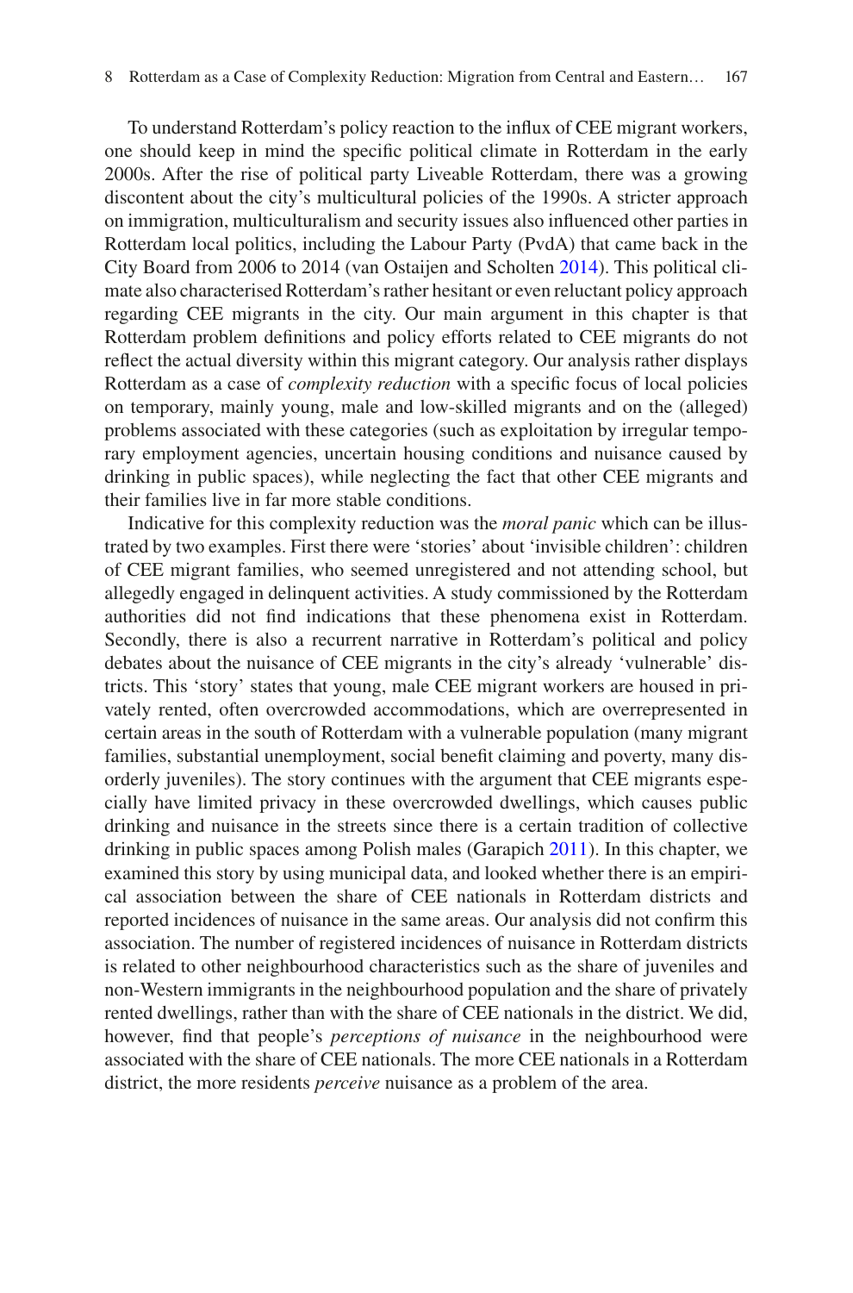To understand Rotterdam's policy reaction to the influx of CEE migrant workers, one should keep in mind the specific political climate in Rotterdam in the early 2000s. After the rise of political party Liveable Rotterdam, there was a growing discontent about the city's multicultural policies of the 1990s. A stricter approach on immigration, multiculturalism and security issues also influenced other parties in Rotterdam local politics, including the Labour Party (PvdA) that came back in the City Board from 2006 to 2014 (van Ostaijen and Scholten 2014). This political climate also characterised Rotterdam's rather hesitant or even reluctant policy approach regarding CEE migrants in the city. Our main argument in this chapter is that Rotterdam problem definitions and policy efforts related to CEE migrants do not reflect the actual diversity within this migrant category. Our analysis rather displays Rotterdam as a case of *complexity reduction* with a specific focus of local policies on temporary, mainly young, male and low-skilled migrants and on the (alleged) problems associated with these categories (such as exploitation by irregular temporary employment agencies, uncertain housing conditions and nuisance caused by drinking in public spaces), while neglecting the fact that other CEE migrants and their families live in far more stable conditions.

Indicative for this complexity reduction was the *moral panic* which can be illustrated by two examples. First there were 'stories' about 'invisible children': children of CEE migrant families, who seemed unregistered and not attending school, but allegedly engaged in delinquent activities. A study commissioned by the Rotterdam authorities did not find indications that these phenomena exist in Rotterdam. Secondly, there is also a recurrent narrative in Rotterdam's political and policy debates about the nuisance of CEE migrants in the city's already 'vulnerable' districts. This 'story' states that young, male CEE migrant workers are housed in privately rented, often overcrowded accommodations, which are overrepresented in certain areas in the south of Rotterdam with a vulnerable population (many migrant families, substantial unemployment, social benefit claiming and poverty, many disorderly juveniles). The story continues with the argument that CEE migrants especially have limited privacy in these overcrowded dwellings, which causes public drinking and nuisance in the streets since there is a certain tradition of collective drinking in public spaces among Polish males (Garapich 2011). In this chapter, we examined this story by using municipal data, and looked whether there is an empirical association between the share of CEE nationals in Rotterdam districts and reported incidences of nuisance in the same areas. Our analysis did not confirm this association. The number of registered incidences of nuisance in Rotterdam districts is related to other neighbourhood characteristics such as the share of juveniles and non-Western immigrants in the neighbourhood population and the share of privately rented dwellings, rather than with the share of CEE nationals in the district. We did, however, find that people's *perceptions of nuisance* in the neighbourhood were associated with the share of CEE nationals. The more CEE nationals in a Rotterdam district, the more residents *perceive* nuisance as a problem of the area.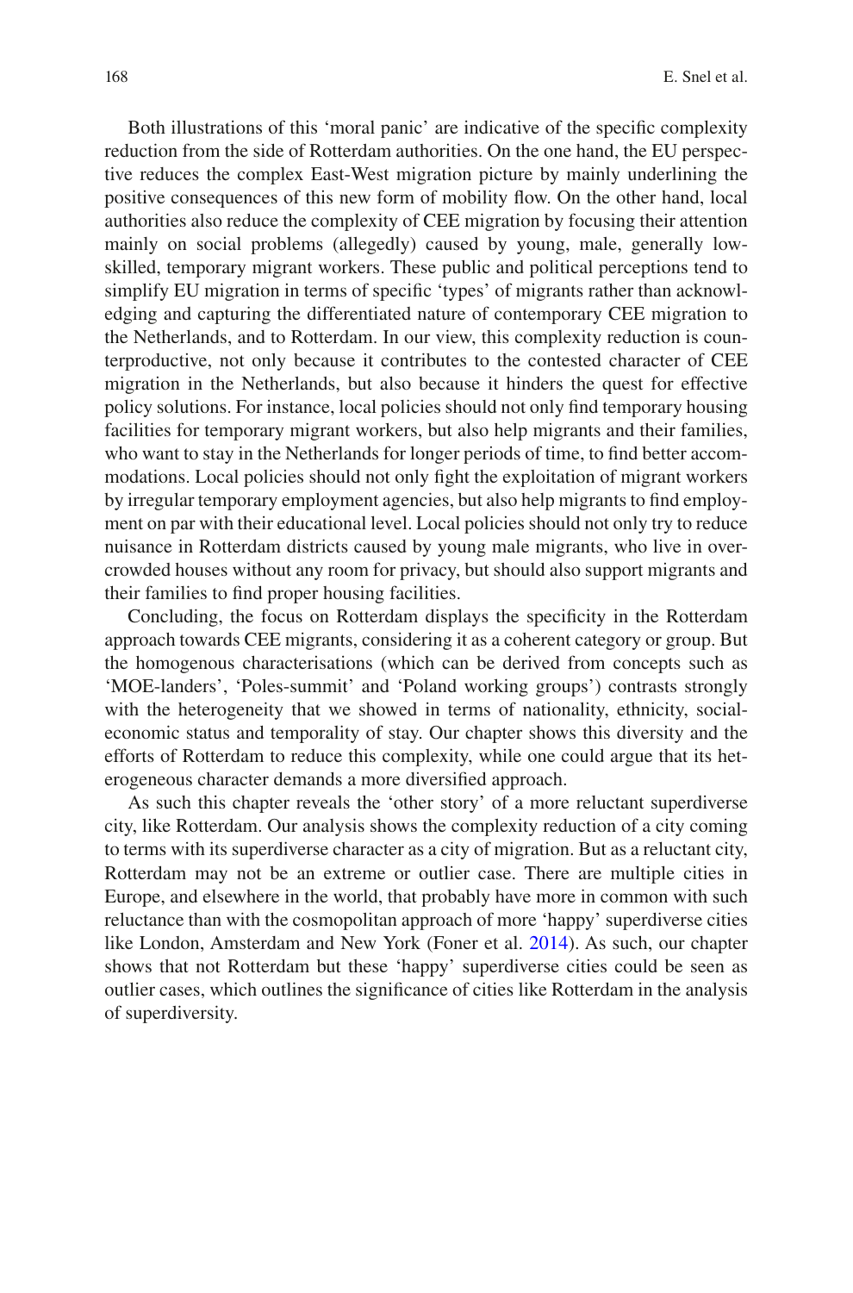Both illustrations of this 'moral panic' are indicative of the specific complexity reduction from the side of Rotterdam authorities. On the one hand, the EU perspective reduces the complex East-West migration picture by mainly underlining the positive consequences of this new form of mobility flow. On the other hand, local authorities also reduce the complexity of CEE migration by focusing their attention mainly on social problems (allegedly) caused by young, male, generally lowskilled, temporary migrant workers. These public and political perceptions tend to simplify EU migration in terms of specific 'types' of migrants rather than acknowledging and capturing the differentiated nature of contemporary CEE migration to the Netherlands, and to Rotterdam. In our view, this complexity reduction is counterproductive, not only because it contributes to the contested character of CEE migration in the Netherlands, but also because it hinders the quest for effective policy solutions. For instance, local policies should not only find temporary housing facilities for temporary migrant workers, but also help migrants and their families, who want to stay in the Netherlands for longer periods of time, to find better accommodations. Local policies should not only fight the exploitation of migrant workers by irregular temporary employment agencies, but also help migrants to find employment on par with their educational level. Local policies should not only try to reduce nuisance in Rotterdam districts caused by young male migrants, who live in overcrowded houses without any room for privacy, but should also support migrants and their families to find proper housing facilities.

Concluding, the focus on Rotterdam displays the specificity in the Rotterdam approach towards CEE migrants, considering it as a coherent category or group. But the homogenous characterisations (which can be derived from concepts such as 'MOE-landers', 'Poles-summit' and 'Poland working groups') contrasts strongly with the heterogeneity that we showed in terms of nationality, ethnicity, socialeconomic status and temporality of stay. Our chapter shows this diversity and the efforts of Rotterdam to reduce this complexity, while one could argue that its heterogeneous character demands a more diversified approach.

As such this chapter reveals the 'other story' of a more reluctant superdiverse city, like Rotterdam. Our analysis shows the complexity reduction of a city coming to terms with its superdiverse character as a city of migration. But as a reluctant city, Rotterdam may not be an extreme or outlier case. There are multiple cities in Europe, and elsewhere in the world, that probably have more in common with such reluctance than with the cosmopolitan approach of more 'happy' superdiverse cities like London, Amsterdam and New York (Foner et al. 2014). As such, our chapter shows that not Rotterdam but these 'happy' superdiverse cities could be seen as outlier cases, which outlines the significance of cities like Rotterdam in the analysis of superdiversity.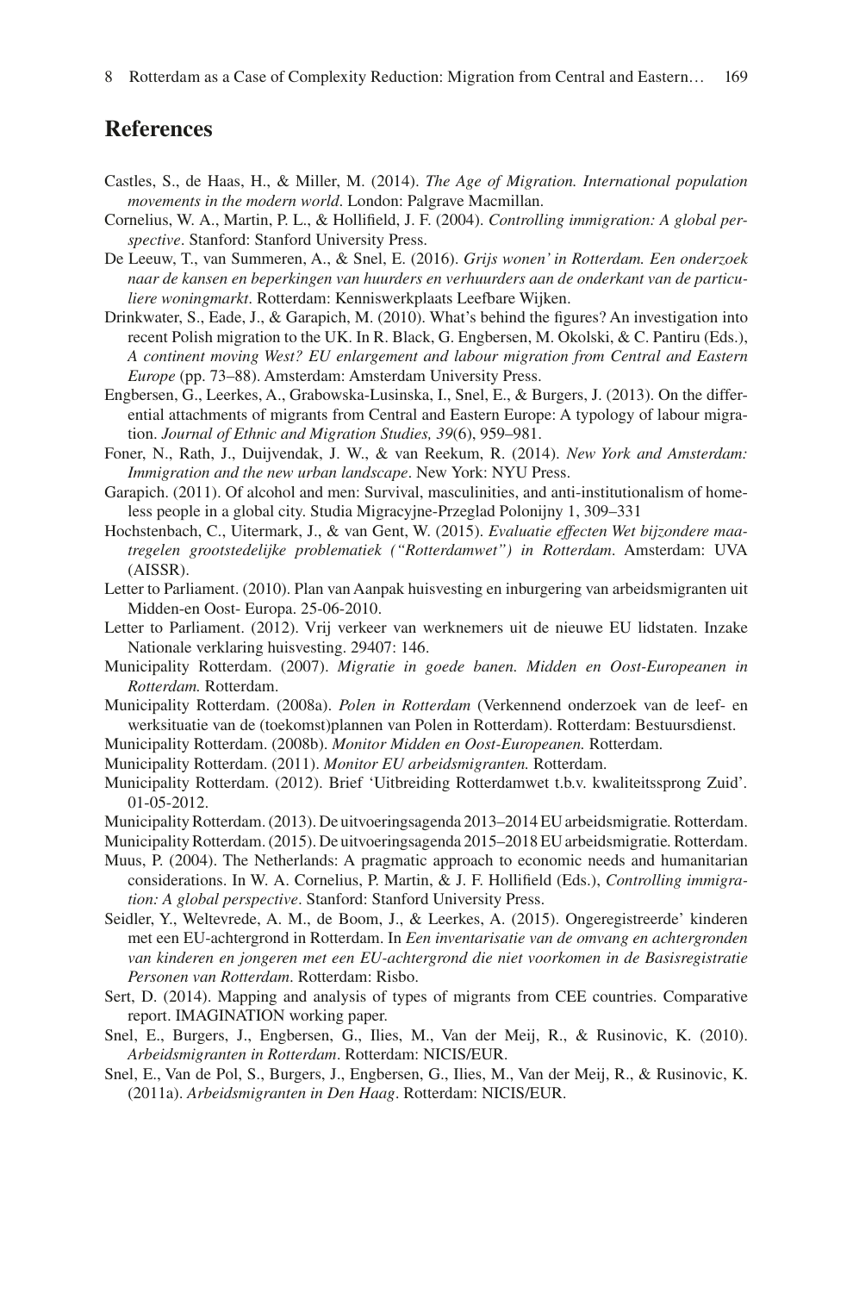169 8 Rotterdam as a Case of Complexity Reduction: Migration from Central and Eastern…

### **References**

- Castles, S., de Haas, H., & Miller, M. (2014). *The Age of Migration. International population movements in the modern world*. London: Palgrave Macmillan.
- Cornelius, W. A., Martin, P. L., & Hollifield, J. F. (2004). *Controlling immigration: A global perspective*. Stanford: Stanford University Press.
- De Leeuw, T., van Summeren, A., & Snel, E. (2016). *Grijs wonen' in Rotterdam. Een onderzoek naar de kansen en beperkingen van huurders en verhuurders aan de onderkant van de particuliere woningmarkt*. Rotterdam: Kenniswerkplaats Leefbare Wijken.
- Drinkwater, S., Eade, J., & Garapich, M. (2010). What's behind the figures? An investigation into recent Polish migration to the UK. In R. Black, G. Engbersen, M. Okolski, & C. Pantiru (Eds.), *A continent moving West? EU enlargement and labour migration from Central and Eastern Europe* (pp. 73–88). Amsterdam: Amsterdam University Press.
- Engbersen, G., Leerkes, A., Grabowska-Lusinska, I., Snel, E., & Burgers, J. (2013). On the differential attachments of migrants from Central and Eastern Europe: A typology of labour migration. *Journal of Ethnic and Migration Studies, 39*(6), 959–981.
- Foner, N., Rath, J., Duijvendak, J. W., & van Reekum, R. (2014). *New York and Amsterdam: Immigration and the new urban landscape*. New York: NYU Press.
- Garapich. (2011). Of alcohol and men: Survival, masculinities, and anti-institutionalism of homeless people in a global city. Studia Migracyjne-Przeglad Polonijny 1, 309–331
- Hochstenbach, C., Uitermark, J., & van Gent, W. (2015). *Evaluatie effecten Wet bijzondere maatregelen grootstedelijke problematiek ("Rotterdamwet") in Rotterdam*. Amsterdam: UVA (AISSR).
- Letter to Parliament. (2010). Plan van Aanpak huisvesting en inburgering van arbeidsmigranten uit Midden-en Oost- Europa. 25-06-2010.
- Letter to Parliament. (2012). Vrij verkeer van werknemers uit de nieuwe EU lidstaten. Inzake Nationale verklaring huisvesting. 29407: 146.
- Municipality Rotterdam. (2007). *Migratie in goede banen. Midden en Oost-Europeanen in Rotterdam.* Rotterdam.
- Municipality Rotterdam. (2008a). *Polen in Rotterdam* (Verkennend onderzoek van de leef- en werksituatie van de (toekomst)plannen van Polen in Rotterdam). Rotterdam: Bestuursdienst.
- Municipality Rotterdam. (2008b). *Monitor Midden en Oost-Europeanen.* Rotterdam.
- Municipality Rotterdam. (2011). *Monitor EU arbeidsmigranten.* Rotterdam.
- Municipality Rotterdam. (2012). Brief 'Uitbreiding Rotterdamwet t.b.v. kwaliteitssprong Zuid'*.* 01-05-2012.
- Municipality Rotterdam. (2013). De uitvoeringsagenda 2013–2014 EU arbeidsmigratie*.* Rotterdam.
- Municipality Rotterdam. (2015). De uitvoeringsagenda 2015–2018 EU arbeidsmigratie*.* Rotterdam.
- Muus, P. (2004). The Netherlands: A pragmatic approach to economic needs and humanitarian considerations. In W. A. Cornelius, P. Martin, & J. F. Hollifield (Eds.), *Controlling immigration: A global perspective*. Stanford: Stanford University Press.
- Seidler, Y., Weltevrede, A. M., de Boom, J., & Leerkes, A. (2015). Ongeregistreerde' kinderen met een EU-achtergrond in Rotterdam. In *Een inventarisatie van de omvang en achtergronden van kinderen en jongeren met een EU-achtergrond die niet voorkomen in de Basisregistratie Personen van Rotterdam*. Rotterdam: Risbo.
- Sert, D. (2014). Mapping and analysis of types of migrants from CEE countries. Comparative report. IMAGINATION working paper.
- Snel, E., Burgers, J., Engbersen, G., Ilies, M., Van der Meij, R., & Rusinovic, K. (2010). *Arbeidsmigranten in Rotterdam*. Rotterdam: NICIS/EUR.
- Snel, E., Van de Pol, S., Burgers, J., Engbersen, G., Ilies, M., Van der Meij, R., & Rusinovic, K. (2011a). *Arbeidsmigranten in Den Haag*. Rotterdam: NICIS/EUR.